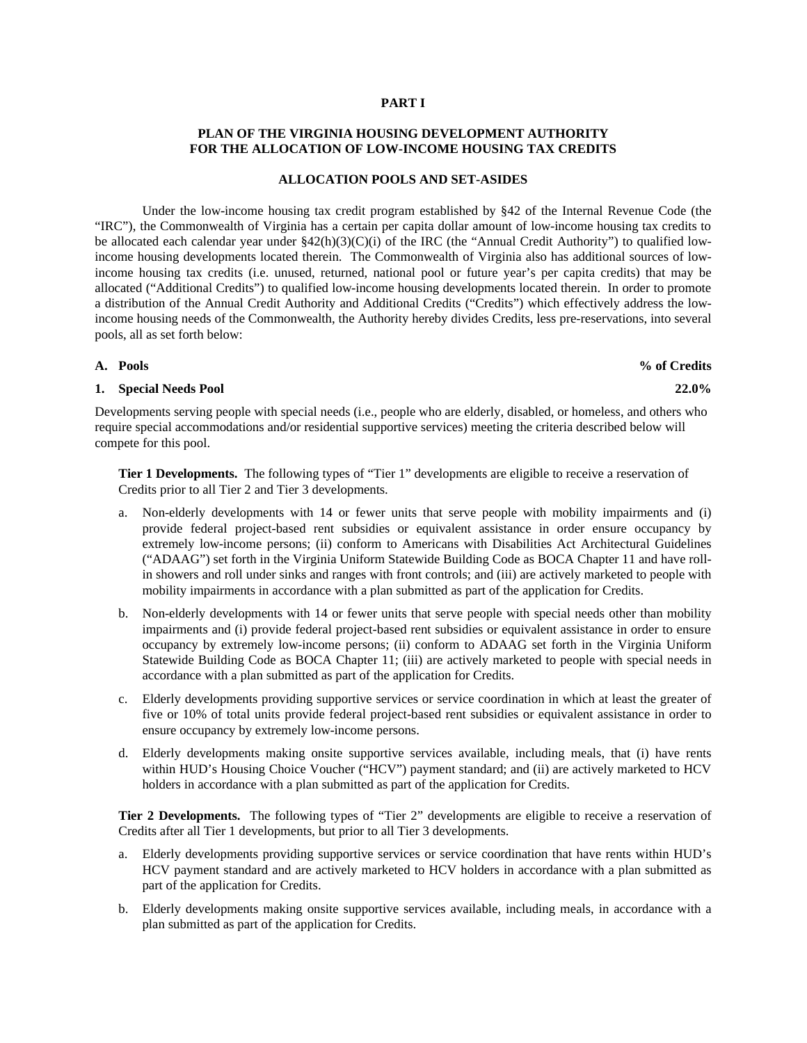### **PART I**

# **PLAN OF THE VIRGINIA HOUSING DEVELOPMENT AUTHORITY FOR THE ALLOCATION OF LOW-INCOME HOUSING TAX CREDITS**

## **ALLOCATION POOLS AND SET-ASIDES**

Under the low-income housing tax credit program established by §42 of the Internal Revenue Code (the "IRC"), the Commonwealth of Virginia has a certain per capita dollar amount of low-income housing tax credits to be allocated each calendar year under  $$42(h)(3)(C)(i)$  of the IRC (the "Annual Credit Authority") to qualified lowincome housing developments located therein. The Commonwealth of Virginia also has additional sources of lowincome housing tax credits (i.e. unused, returned, national pool or future year's per capita credits) that may be allocated ("Additional Credits") to qualified low-income housing developments located therein. In order to promote a distribution of the Annual Credit Authority and Additional Credits ("Credits") which effectively address the lowincome housing needs of the Commonwealth, the Authority hereby divides Credits, less pre-reservations, into several pools, all as set forth below:

## **1. Special Needs Pool 22.0%**

Developments serving people with special needs (i.e., people who are elderly, disabled, or homeless, and others who require special accommodations and/or residential supportive services) meeting the criteria described below will compete for this pool.

**Tier 1 Developments.** The following types of "Tier 1" developments are eligible to receive a reservation of Credits prior to all Tier 2 and Tier 3 developments.

- a. Non-elderly developments with 14 or fewer units that serve people with mobility impairments and (i) provide federal project-based rent subsidies or equivalent assistance in order ensure occupancy by extremely low-income persons; (ii) conform to Americans with Disabilities Act Architectural Guidelines ("ADAAG") set forth in the Virginia Uniform Statewide Building Code as BOCA Chapter 11 and have rollin showers and roll under sinks and ranges with front controls; and (iii) are actively marketed to people with mobility impairments in accordance with a plan submitted as part of the application for Credits.
- b. Non-elderly developments with 14 or fewer units that serve people with special needs other than mobility impairments and (i) provide federal project-based rent subsidies or equivalent assistance in order to ensure occupancy by extremely low-income persons; (ii) conform to ADAAG set forth in the Virginia Uniform Statewide Building Code as BOCA Chapter 11; (iii) are actively marketed to people with special needs in accordance with a plan submitted as part of the application for Credits.
- c. Elderly developments providing supportive services or service coordination in which at least the greater of five or 10% of total units provide federal project-based rent subsidies or equivalent assistance in order to ensure occupancy by extremely low-income persons.
- d. Elderly developments making onsite supportive services available, including meals, that (i) have rents within HUD's Housing Choice Voucher ("HCV") payment standard; and (ii) are actively marketed to HCV holders in accordance with a plan submitted as part of the application for Credits.

**Tier 2 Developments.** The following types of "Tier 2" developments are eligible to receive a reservation of Credits after all Tier 1 developments, but prior to all Tier 3 developments.

- a. Elderly developments providing supportive services or service coordination that have rents within HUD's HCV payment standard and are actively marketed to HCV holders in accordance with a plan submitted as part of the application for Credits.
- b. Elderly developments making onsite supportive services available, including meals, in accordance with a plan submitted as part of the application for Credits.

# **A. Pools % of Credits**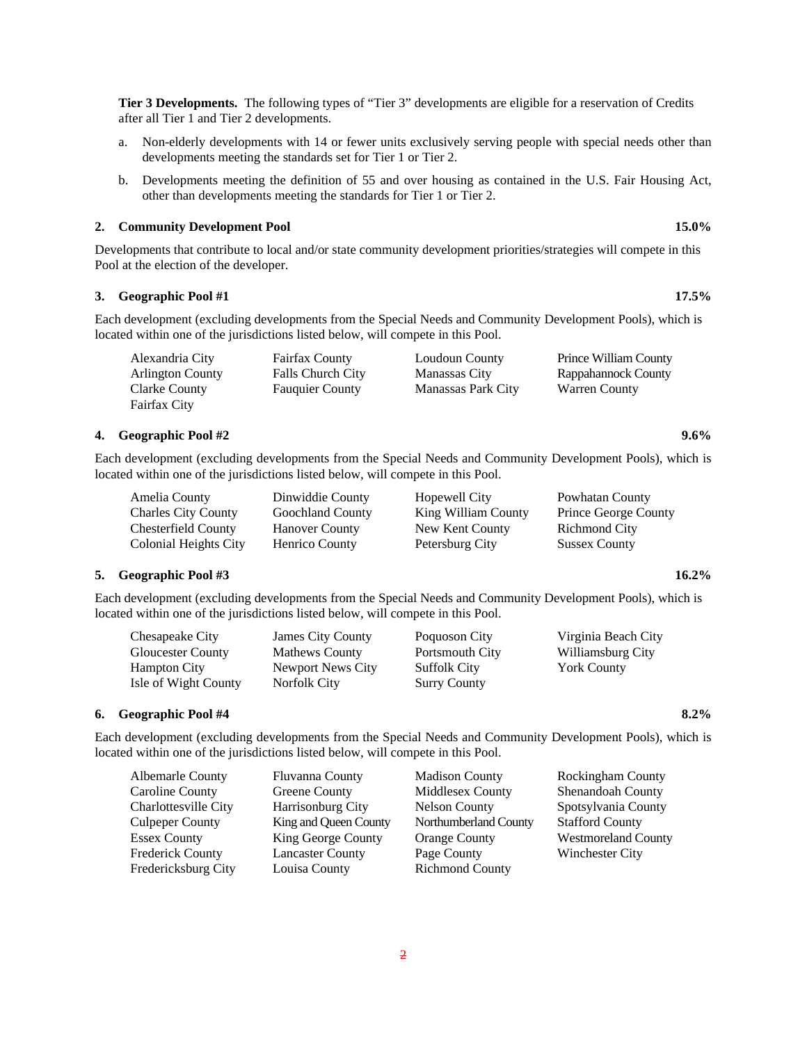**Tier 3 Developments.** The following types of "Tier 3" developments are eligible for a reservation of Credits after all Tier 1 and Tier 2 developments.

- a. Non-elderly developments with 14 or fewer units exclusively serving people with special needs other than developments meeting the standards set for Tier 1 or Tier 2.
- b. Developments meeting the definition of 55 and over housing as contained in the U.S. Fair Housing Act, other than developments meeting the standards for Tier 1 or Tier 2.

## **2. Community Development Pool 15.0%**

Developments that contribute to local and/or state community development priorities/strategies will compete in this Pool at the election of the developer.

## **3. Geographic Pool #1 17.5%**

Each development (excluding developments from the Special Needs and Community Development Pools), which is located within one of the jurisdictions listed below, will compete in this Pool.

| Alexandria City         | <b>Fairfax County</b>    | Loudoun County     | Prince William County |
|-------------------------|--------------------------|--------------------|-----------------------|
| <b>Arlington County</b> | <b>Falls Church City</b> | Manassas City      | Rappahannock County   |
| Clarke County           | <b>Fauguier County</b>   | Manassas Park City | <b>Warren County</b>  |
| Fairfax City            |                          |                    |                       |

## **4. Geographic Pool #2 9.6%**

Each development (excluding developments from the Special Needs and Community Development Pools), which is located within one of the jurisdictions listed below, will compete in this Pool.

| Amelia County         | Dinwiddie County        | Hopewell City       | Powhatan County             |
|-----------------------|-------------------------|---------------------|-----------------------------|
| Charles City County   | <b>Goochland County</b> | King William County | <b>Prince George County</b> |
| Chesterfield County   | <b>Hanover County</b>   | New Kent County     | Richmond City               |
| Colonial Heights City | Henrico County          | Petersburg City     | <b>Sussex County</b>        |

#### **5. Geographic Pool #3 16.2%**

Each development (excluding developments from the Special Needs and Community Development Pools), which is located within one of the jurisdictions listed below, will compete in this Pool.

| Chesapeake City      | <b>James City County</b> | Poquoson City       | Virginia Beach City |
|----------------------|--------------------------|---------------------|---------------------|
| Gloucester County    | <b>Mathews County</b>    | Portsmouth City     | Williamsburg City   |
| Hampton City         | Newport News City        | <b>Suffolk City</b> | <b>York County</b>  |
| Isle of Wight County | Norfolk City             | <b>Surry County</b> |                     |

#### **6. Geographic Pool #4 8.2%**

Each development (excluding developments from the Special Needs and Community Development Pools), which is located within one of the jurisdictions listed below, will compete in this Pool.

| Albemarle County        | Fluvanna County         | <b>Madison County</b>  | Rockingham County          |
|-------------------------|-------------------------|------------------------|----------------------------|
| Caroline County         | Greene County           | Middlesex County       | Shenandoah County          |
| Charlottesville City    | Harrisonburg City       | <b>Nelson County</b>   | Spotsylvania County        |
| Culpeper County         | King and Queen County   | Northumberland County  | <b>Stafford County</b>     |
| Essex County            | King George County      | <b>Orange County</b>   | <b>Westmoreland County</b> |
| <b>Frederick County</b> | <b>Lancaster County</b> | Page County            | Winchester City            |
| Fredericksburg City     | Louisa County           | <b>Richmond County</b> |                            |
|                         |                         |                        |                            |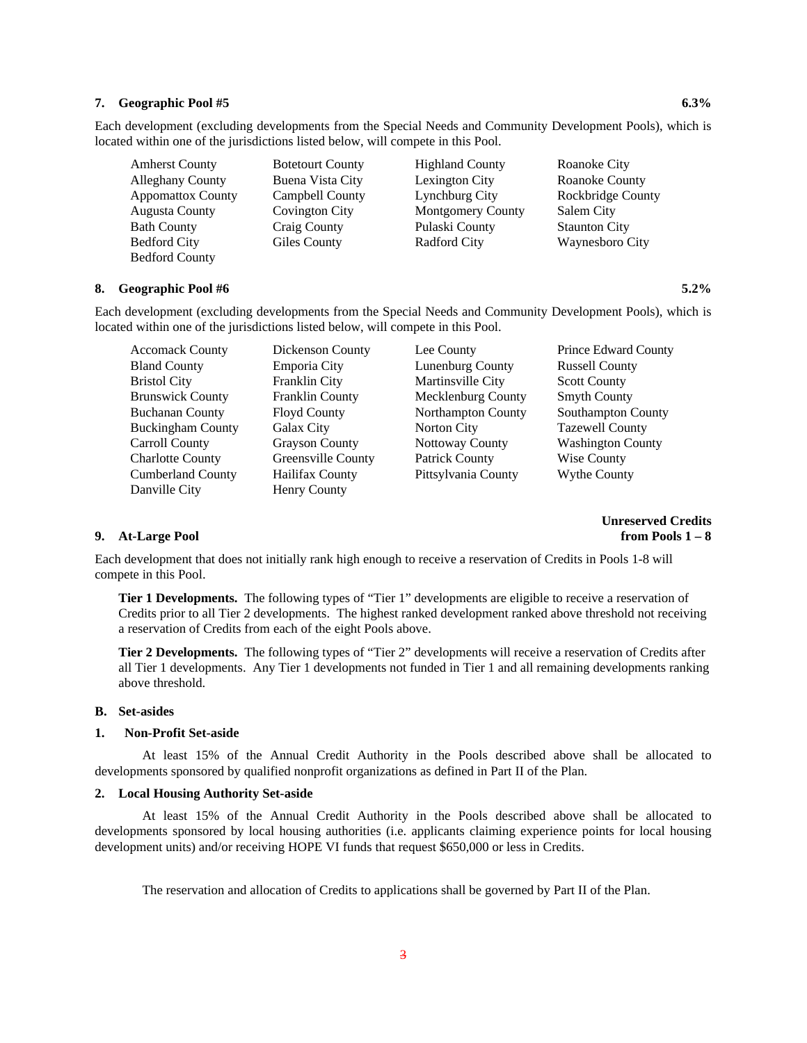#### **7. Geographic Pool #5 6.3%**

Each development (excluding developments from the Special Needs and Community Development Pools), which is located within one of the jurisdictions listed below, will compete in this Pool.

| <b>Amherst County</b>    | <b>Botetourt County</b> | <b>Highland County</b>   | Roanoke City         |
|--------------------------|-------------------------|--------------------------|----------------------|
| <b>Alleghany County</b>  | Buena Vista City        | Lexington City           | Roanoke County       |
| <b>Appomattox County</b> | Campbell County         | Lynchburg City           | Rockbridge County    |
| <b>Augusta County</b>    | Covington City          | <b>Montgomery County</b> | Salem City           |
| <b>Bath County</b>       | Craig County            | Pulaski County           | <b>Staunton City</b> |
| <b>Bedford City</b>      | Giles County            | <b>Radford City</b>      | Waynesboro City      |
| <b>Bedford County</b>    |                         |                          |                      |

## **8. Geographic Pool #6 5.2%**

Each development (excluding developments from the Special Needs and Community Development Pools), which is located within one of the jurisdictions listed below, will compete in this Pool.

| <b>Accomack County</b>   | Dickenson County       | Lee County            | Prince Edward County     |
|--------------------------|------------------------|-----------------------|--------------------------|
| <b>Bland County</b>      | Emporia City           | Lunenburg County      | <b>Russell County</b>    |
| <b>Bristol City</b>      | Franklin City          | Martinsville City     | <b>Scott County</b>      |
| <b>Brunswick County</b>  | Franklin County        | Mecklenburg County    | <b>Smyth County</b>      |
| <b>Buchanan County</b>   | <b>Floyd County</b>    | Northampton County    | Southampton County       |
| <b>Buckingham County</b> | Galax City             | Norton City           | <b>Tazewell County</b>   |
| Carroll County           | <b>Grayson County</b>  | Nottoway County       | <b>Washington County</b> |
| <b>Charlotte County</b>  | Greensville County     | <b>Patrick County</b> | Wise County              |
| <b>Cumberland County</b> | <b>Hailifax County</b> | Pittsylvania County   | <b>Wythe County</b>      |
| Danville City            | Henry County           |                       |                          |

**Unreserved Credits 9. At-Large Pool from Pools 1 – 8**

Each development that does not initially rank high enough to receive a reservation of Credits in Pools 1-8 will compete in this Pool.

**Tier 1 Developments.** The following types of "Tier 1" developments are eligible to receive a reservation of Credits prior to all Tier 2 developments. The highest ranked development ranked above threshold not receiving a reservation of Credits from each of the eight Pools above.

**Tier 2 Developments.** The following types of "Tier 2" developments will receive a reservation of Credits after all Tier 1 developments. Any Tier 1 developments not funded in Tier 1 and all remaining developments ranking above threshold.

### **B. Set-asides**

#### **1. Non-Profit Set-aside**

At least 15% of the Annual Credit Authority in the Pools described above shall be allocated to developments sponsored by qualified nonprofit organizations as defined in Part II of the Plan.

#### **2. Local Housing Authority Set-aside**

At least 15% of the Annual Credit Authority in the Pools described above shall be allocated to developments sponsored by local housing authorities (i.e. applicants claiming experience points for local housing development units) and/or receiving HOPE VI funds that request \$650,000 or less in Credits.

The reservation and allocation of Credits to applications shall be governed by Part II of the Plan.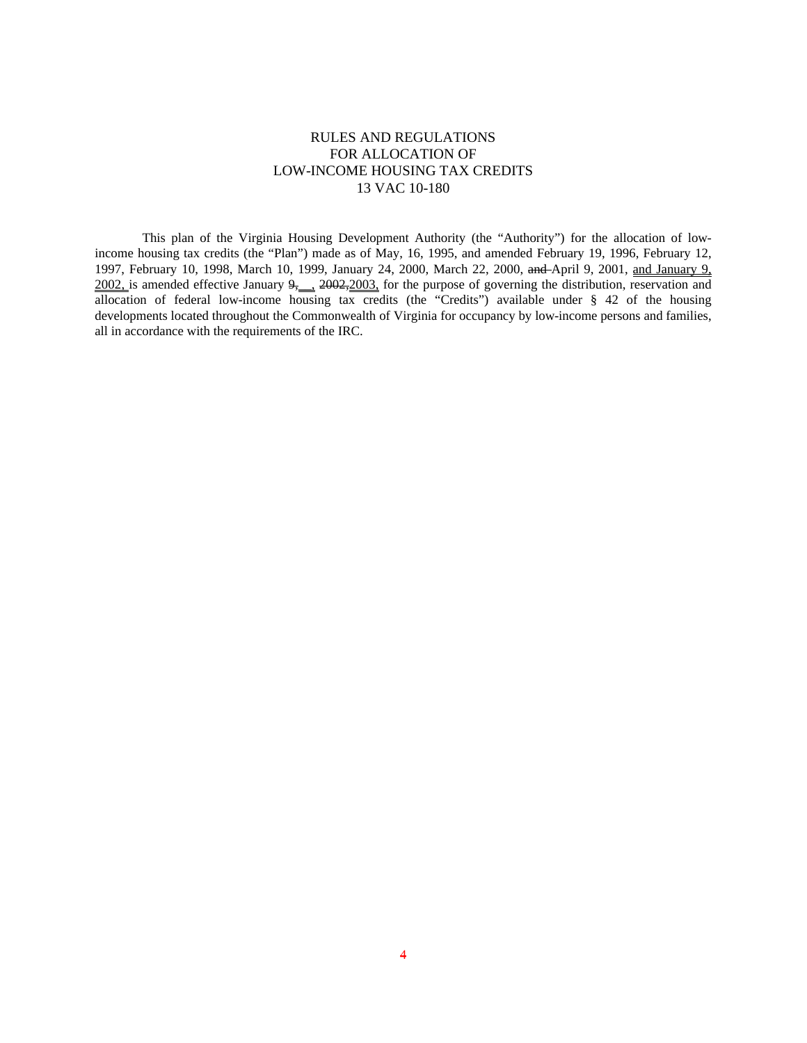# RULES AND REGULATIONS FOR ALLOCATION OF LOW-INCOME HOUSING TAX CREDITS 13 VAC 10-180

This plan of the Virginia Housing Development Authority (the "Authority") for the allocation of lowincome housing tax credits (the "Plan") made as of May, 16, 1995, and amended February 19, 1996, February 12, 1997, February 10, 1998, March 10, 1999, January 24, 2000, March 22, 2000, and April 9, 2001, and January 9,  $\frac{2002}{100}$  is amended effective January  $9,$   $\frac{2002,2003}{1000}$  for the purpose of governing the distribution, reservation and allocation of federal low-income housing tax credits (the "Credits") available under § 42 of the housing developments located throughout the Commonwealth of Virginia for occupancy by low-income persons and families, all in accordance with the requirements of the IRC.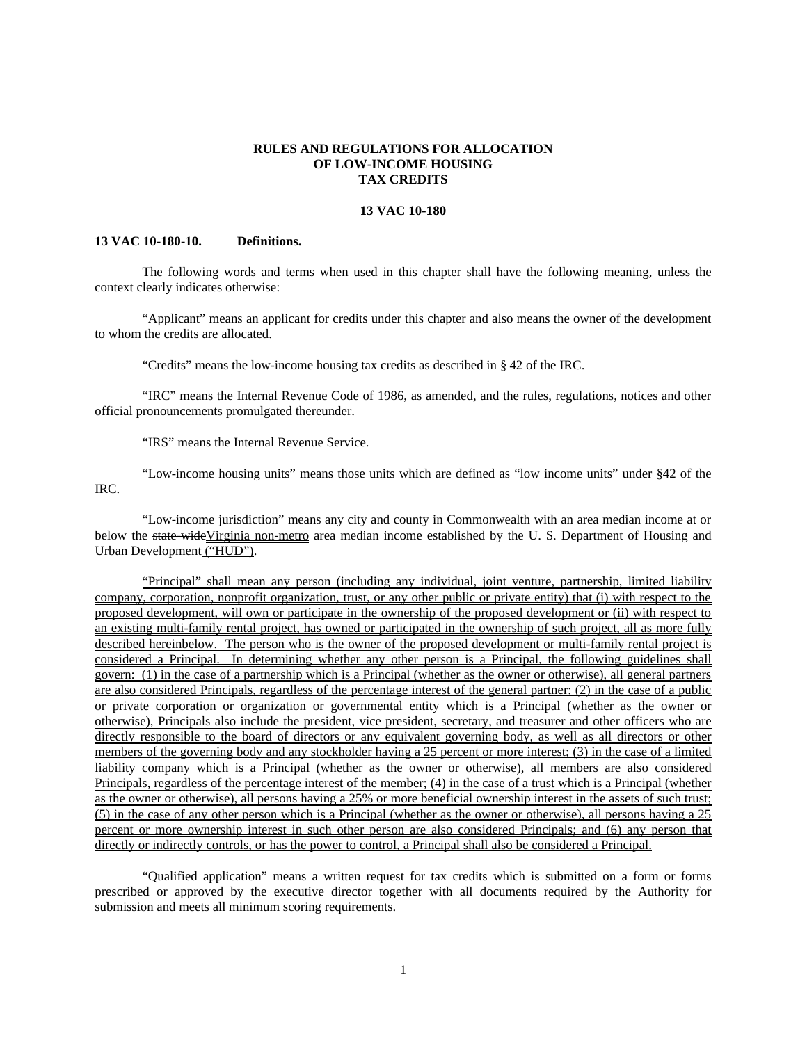## **RULES AND REGULATIONS FOR ALLOCATION OF LOW-INCOME HOUSING TAX CREDITS**

### **13 VAC 10-180**

### **13 VAC 10-180-10. Definitions.**

The following words and terms when used in this chapter shall have the following meaning, unless the context clearly indicates otherwise:

"Applicant" means an applicant for credits under this chapter and also means the owner of the development to whom the credits are allocated.

"Credits" means the low-income housing tax credits as described in § 42 of the IRC.

"IRC" means the Internal Revenue Code of 1986, as amended, and the rules, regulations, notices and other official pronouncements promulgated thereunder.

"IRS" means the Internal Revenue Service.

"Low-income housing units" means those units which are defined as "low income units" under §42 of the IRC.

"Low-income jurisdiction" means any city and county in Commonwealth with an area median income at or below the state-wideVirginia non-metro area median income established by the U.S. Department of Housing and Urban Development ("HUD").

"Principal" shall mean any person (including any individual, joint venture, partnership, limited liability company, corporation, nonprofit organization, trust, or any other public or private entity) that (i) with respect to the proposed development, will own or participate in the ownership of the proposed development or (ii) with respect to an existing multi-family rental project, has owned or participated in the ownership of such project, all as more fully described hereinbelow. The person who is the owner of the proposed development or multi-family rental project is considered a Principal. In determining whether any other person is a Principal, the following guidelines shall govern: (1) in the case of a partnership which is a Principal (whether as the owner or otherwise), all general partners are also considered Principals, regardless of the percentage interest of the general partner; (2) in the case of a public or private corporation or organization or governmental entity which is a Principal (whether as the owner or otherwise), Principals also include the president, vice president, secretary, and treasurer and other officers who are directly responsible to the board of directors or any equivalent governing body, as well as all directors or other members of the governing body and any stockholder having a 25 percent or more interest; (3) in the case of a limited liability company which is a Principal (whether as the owner or otherwise), all members are also considered Principals, regardless of the percentage interest of the member; (4) in the case of a trust which is a Principal (whether as the owner or otherwise), all persons having a 25% or more beneficial ownership interest in the assets of such trust; (5) in the case of any other person which is a Principal (whether as the owner or otherwise), all persons having a 25 percent or more ownership interest in such other person are also considered Principals; and (6) any person that directly or indirectly controls, or has the power to control, a Principal shall also be considered a Principal.

"Qualified application" means a written request for tax credits which is submitted on a form or forms prescribed or approved by the executive director together with all documents required by the Authority for submission and meets all minimum scoring requirements.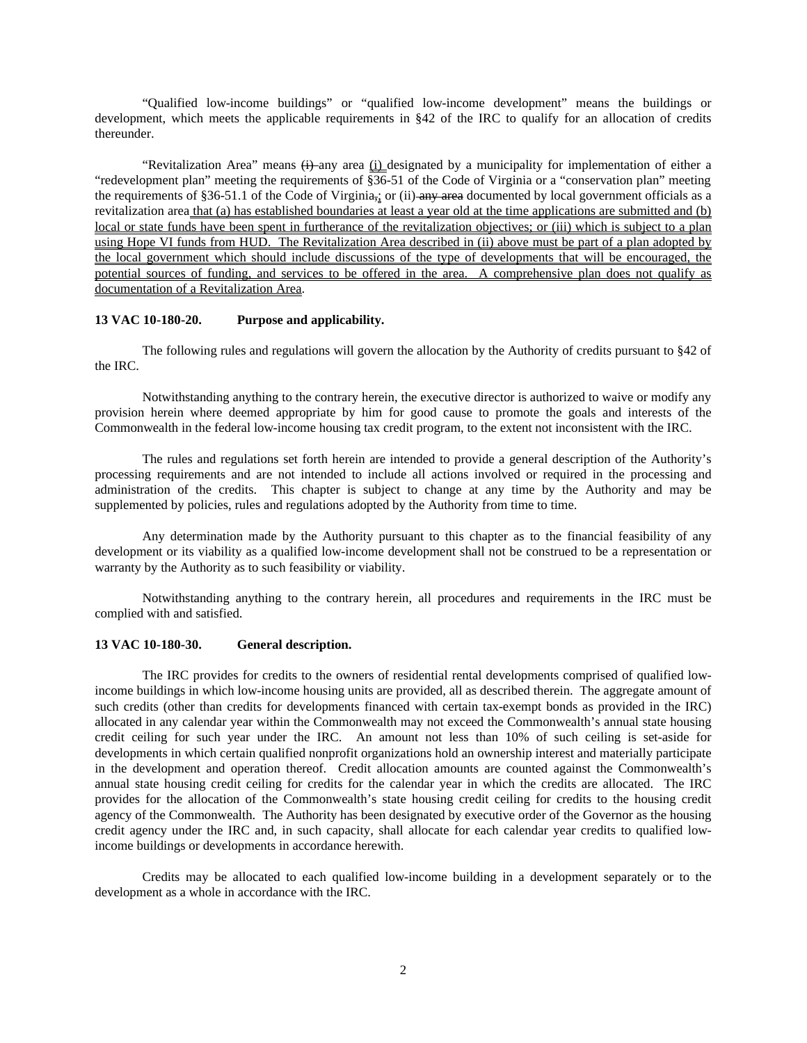"Qualified low-income buildings" or "qualified low-income development" means the buildings or development, which meets the applicable requirements in §42 of the IRC to qualify for an allocation of credits thereunder.

"Revitalization Area" means  $\leftrightarrow$ -any area  $(i)$  designated by a municipality for implementation of either a "redevelopment plan" meeting the requirements of §36-51 of the Code of Virginia or a "conservation plan" meeting the requirements of §36-51.1 of the Code of Virginia,; or (ii) any area documented by local government officials as a revitalization area that (a) has established boundaries at least a year old at the time applications are submitted and (b) local or state funds have been spent in furtherance of the revitalization objectives; or (iii) which is subject to a plan using Hope VI funds from HUD. The Revitalization Area described in (ii) above must be part of a plan adopted by the local government which should include discussions of the type of developments that will be encouraged, the potential sources of funding, and services to be offered in the area. A comprehensive plan does not qualify as documentation of a Revitalization Area.

## **13 VAC 10-180-20. Purpose and applicability.**

The following rules and regulations will govern the allocation by the Authority of credits pursuant to §42 of the IRC.

Notwithstanding anything to the contrary herein, the executive director is authorized to waive or modify any provision herein where deemed appropriate by him for good cause to promote the goals and interests of the Commonwealth in the federal low-income housing tax credit program, to the extent not inconsistent with the IRC.

The rules and regulations set forth herein are intended to provide a general description of the Authority's processing requirements and are not intended to include all actions involved or required in the processing and administration of the credits. This chapter is subject to change at any time by the Authority and may be supplemented by policies, rules and regulations adopted by the Authority from time to time.

Any determination made by the Authority pursuant to this chapter as to the financial feasibility of any development or its viability as a qualified low-income development shall not be construed to be a representation or warranty by the Authority as to such feasibility or viability.

Notwithstanding anything to the contrary herein, all procedures and requirements in the IRC must be complied with and satisfied.

## **13 VAC 10-180-30. General description.**

The IRC provides for credits to the owners of residential rental developments comprised of qualified lowincome buildings in which low-income housing units are provided, all as described therein. The aggregate amount of such credits (other than credits for developments financed with certain tax-exempt bonds as provided in the IRC) allocated in any calendar year within the Commonwealth may not exceed the Commonwealth's annual state housing credit ceiling for such year under the IRC. An amount not less than 10% of such ceiling is set-aside for developments in which certain qualified nonprofit organizations hold an ownership interest and materially participate in the development and operation thereof. Credit allocation amounts are counted against the Commonwealth's annual state housing credit ceiling for credits for the calendar year in which the credits are allocated. The IRC provides for the allocation of the Commonwealth's state housing credit ceiling for credits to the housing credit agency of the Commonwealth. The Authority has been designated by executive order of the Governor as the housing credit agency under the IRC and, in such capacity, shall allocate for each calendar year credits to qualified lowincome buildings or developments in accordance herewith.

Credits may be allocated to each qualified low-income building in a development separately or to the development as a whole in accordance with the IRC.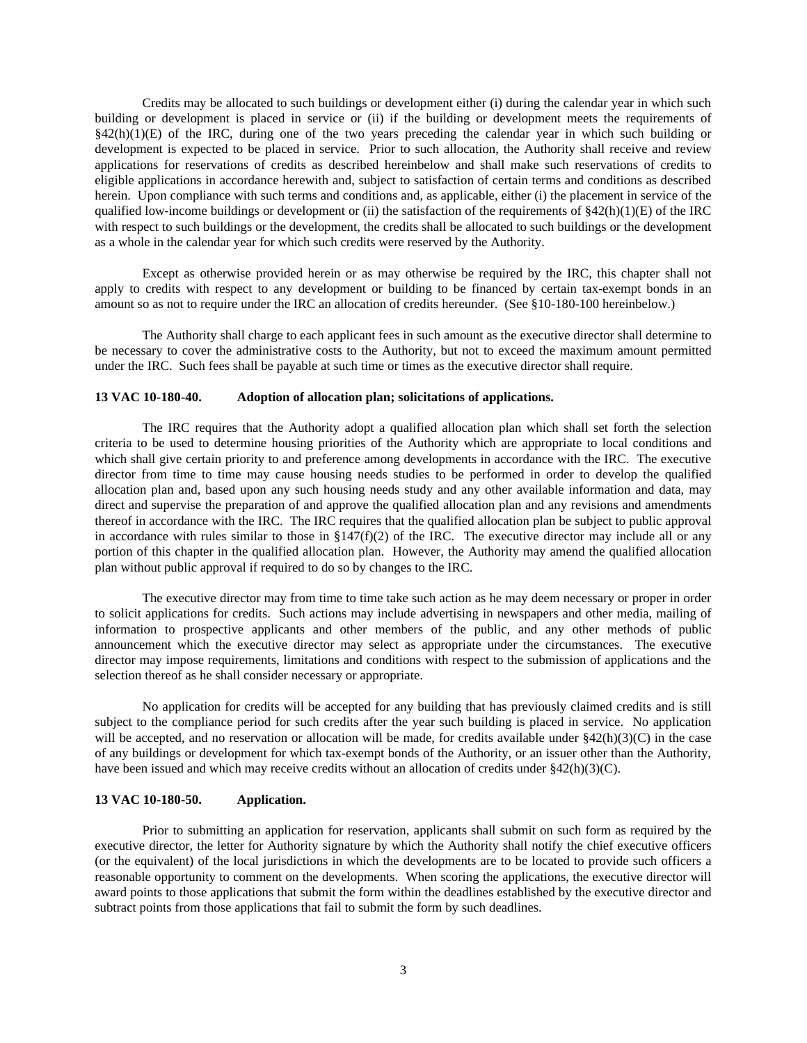Credits may be allocated to such buildings or development either (i) during the calendar year in which such building or development is placed in service or (ii) if the building or development meets the requirements of §42(h)(1)(E) of the IRC, during one of the two years preceding the calendar year in which such building or development is expected to be placed in service. Prior to such allocation, the Authority shall receive and review applications for reservations of credits as described hereinbelow and shall make such reservations of credits to eligible applications in accordance herewith and, subject to satisfaction of certain terms and conditions as described herein. Upon compliance with such terms and conditions and, as applicable, either (i) the placement in service of the qualified low-income buildings or development or (ii) the satisfaction of the requirements of  $$42(h)(1)(E)$  of the IRC with respect to such buildings or the development, the credits shall be allocated to such buildings or the development as a whole in the calendar year for which such credits were reserved by the Authority.

Except as otherwise provided herein or as may otherwise be required by the IRC, this chapter shall not apply to credits with respect to any development or building to be financed by certain tax-exempt bonds in an amount so as not to require under the IRC an allocation of credits hereunder. (See §10-180-100 hereinbelow.)

The Authority shall charge to each applicant fees in such amount as the executive director shall determine to be necessary to cover the administrative costs to the Authority, but not to exceed the maximum amount permitted under the IRC. Such fees shall be payable at such time or times as the executive director shall require.

## **13 VAC 10-180-40. Adoption of allocation plan; solicitations of applications.**

The IRC requires that the Authority adopt a qualified allocation plan which shall set forth the selection criteria to be used to determine housing priorities of the Authority which are appropriate to local conditions and which shall give certain priority to and preference among developments in accordance with the IRC. The executive director from time to time may cause housing needs studies to be performed in order to develop the qualified allocation plan and, based upon any such housing needs study and any other available information and data, may direct and supervise the preparation of and approve the qualified allocation plan and any revisions and amendments thereof in accordance with the IRC. The IRC requires that the qualified allocation plan be subject to public approval in accordance with rules similar to those in  $\S 147(f)(2)$  of the IRC. The executive director may include all or any portion of this chapter in the qualified allocation plan. However, the Authority may amend the qualified allocation plan without public approval if required to do so by changes to the IRC.

The executive director may from time to time take such action as he may deem necessary or proper in order to solicit applications for credits. Such actions may include advertising in newspapers and other media, mailing of information to prospective applicants and other members of the public, and any other methods of public announcement which the executive director may select as appropriate under the circumstances. The executive director may impose requirements, limitations and conditions with respect to the submission of applications and the selection thereof as he shall consider necessary or appropriate.

No application for credits will be accepted for any building that has previously claimed credits and is still subject to the compliance period for such credits after the year such building is placed in service. No application will be accepted, and no reservation or allocation will be made, for credits available under §42(h)(3)(C) in the case of any buildings or development for which tax-exempt bonds of the Authority, or an issuer other than the Authority, have been issued and which may receive credits without an allocation of credits under §42(h)(3)(C).

## **13 VAC 10-180-50. Application.**

Prior to submitting an application for reservation, applicants shall submit on such form as required by the executive director, the letter for Authority signature by which the Authority shall notify the chief executive officers (or the equivalent) of the local jurisdictions in which the developments are to be located to provide such officers a reasonable opportunity to comment on the developments. When scoring the applications, the executive director will award points to those applications that submit the form within the deadlines established by the executive director and subtract points from those applications that fail to submit the form by such deadlines.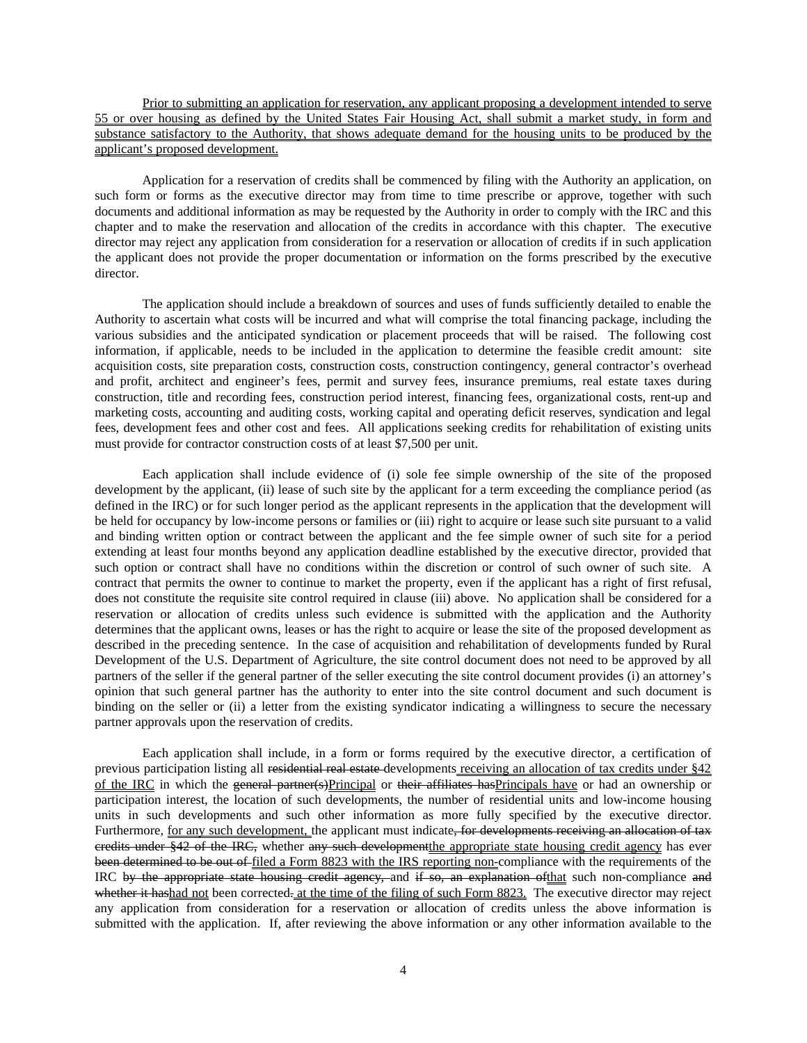Prior to submitting an application for reservation, any applicant proposing a development intended to serve 55 or over housing as defined by the United States Fair Housing Act, shall submit a market study, in form and substance satisfactory to the Authority, that shows adequate demand for the housing units to be produced by the applicant's proposed development.

Application for a reservation of credits shall be commenced by filing with the Authority an application, on such form or forms as the executive director may from time to time prescribe or approve, together with such documents and additional information as may be requested by the Authority in order to comply with the IRC and this chapter and to make the reservation and allocation of the credits in accordance with this chapter. The executive director may reject any application from consideration for a reservation or allocation of credits if in such application the applicant does not provide the proper documentation or information on the forms prescribed by the executive director.

The application should include a breakdown of sources and uses of funds sufficiently detailed to enable the Authority to ascertain what costs will be incurred and what will comprise the total financing package, including the various subsidies and the anticipated syndication or placement proceeds that will be raised. The following cost information, if applicable, needs to be included in the application to determine the feasible credit amount: site acquisition costs, site preparation costs, construction costs, construction contingency, general contractor's overhead and profit, architect and engineer's fees, permit and survey fees, insurance premiums, real estate taxes during construction, title and recording fees, construction period interest, financing fees, organizational costs, rent-up and marketing costs, accounting and auditing costs, working capital and operating deficit reserves, syndication and legal fees, development fees and other cost and fees. All applications seeking credits for rehabilitation of existing units must provide for contractor construction costs of at least \$7,500 per unit.

Each application shall include evidence of (i) sole fee simple ownership of the site of the proposed development by the applicant, (ii) lease of such site by the applicant for a term exceeding the compliance period (as defined in the IRC) or for such longer period as the applicant represents in the application that the development will be held for occupancy by low-income persons or families or (iii) right to acquire or lease such site pursuant to a valid and binding written option or contract between the applicant and the fee simple owner of such site for a period extending at least four months beyond any application deadline established by the executive director, provided that such option or contract shall have no conditions within the discretion or control of such owner of such site. A contract that permits the owner to continue to market the property, even if the applicant has a right of first refusal, does not constitute the requisite site control required in clause (iii) above. No application shall be considered for a reservation or allocation of credits unless such evidence is submitted with the application and the Authority determines that the applicant owns, leases or has the right to acquire or lease the site of the proposed development as described in the preceding sentence. In the case of acquisition and rehabilitation of developments funded by Rural Development of the U.S. Department of Agriculture, the site control document does not need to be approved by all partners of the seller if the general partner of the seller executing the site control document provides (i) an attorney's opinion that such general partner has the authority to enter into the site control document and such document is binding on the seller or (ii) a letter from the existing syndicator indicating a willingness to secure the necessary partner approvals upon the reservation of credits.

Each application shall include, in a form or forms required by the executive director, a certification of previous participation listing all residential real estate developments receiving an allocation of tax credits under §42 of the IRC in which the general partner(s)Principal or their affiliates hasPrincipals have or had an ownership or participation interest, the location of such developments, the number of residential units and low-income housing units in such developments and such other information as more fully specified by the executive director. Furthermore, for any such development, the applicant must indicate<del>, for developments receiving an allocation of tax</del> credits under §42 of the IRC, whether any such development the appropriate state housing credit agency has ever been determined to be out of filed a Form 8823 with the IRS reporting non-compliance with the requirements of the IRC by the appropriate state housing credit agency, and if so, an explanation ofthat such non-compliance and whether it hashad not been corrected. at the time of the filing of such Form 8823. The executive director may reject any application from consideration for a reservation or allocation of credits unless the above information is submitted with the application. If, after reviewing the above information or any other information available to the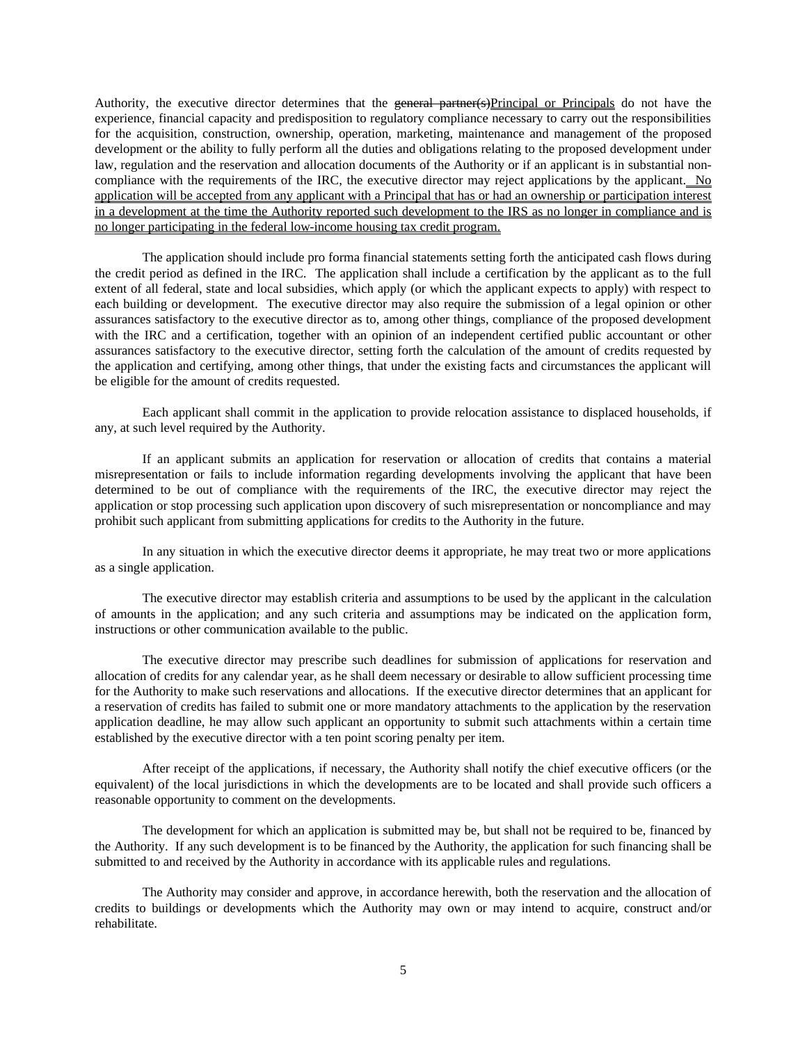Authority, the executive director determines that the general partner(s)Principal or Principals do not have the experience, financial capacity and predisposition to regulatory compliance necessary to carry out the responsibilities for the acquisition, construction, ownership, operation, marketing, maintenance and management of the proposed development or the ability to fully perform all the duties and obligations relating to the proposed development under law, regulation and the reservation and allocation documents of the Authority or if an applicant is in substantial noncompliance with the requirements of the IRC, the executive director may reject applications by the applicant. No application will be accepted from any applicant with a Principal that has or had an ownership or participation interest in a development at the time the Authority reported such development to the IRS as no longer in compliance and is no longer participating in the federal low-income housing tax credit program.

The application should include pro forma financial statements setting forth the anticipated cash flows during the credit period as defined in the IRC. The application shall include a certification by the applicant as to the full extent of all federal, state and local subsidies, which apply (or which the applicant expects to apply) with respect to each building or development. The executive director may also require the submission of a legal opinion or other assurances satisfactory to the executive director as to, among other things, compliance of the proposed development with the IRC and a certification, together with an opinion of an independent certified public accountant or other assurances satisfactory to the executive director, setting forth the calculation of the amount of credits requested by the application and certifying, among other things, that under the existing facts and circumstances the applicant will be eligible for the amount of credits requested.

Each applicant shall commit in the application to provide relocation assistance to displaced households, if any, at such level required by the Authority.

If an applicant submits an application for reservation or allocation of credits that contains a material misrepresentation or fails to include information regarding developments involving the applicant that have been determined to be out of compliance with the requirements of the IRC, the executive director may reject the application or stop processing such application upon discovery of such misrepresentation or noncompliance and may prohibit such applicant from submitting applications for credits to the Authority in the future.

In any situation in which the executive director deems it appropriate, he may treat two or more applications as a single application.

The executive director may establish criteria and assumptions to be used by the applicant in the calculation of amounts in the application; and any such criteria and assumptions may be indicated on the application form, instructions or other communication available to the public.

The executive director may prescribe such deadlines for submission of applications for reservation and allocation of credits for any calendar year, as he shall deem necessary or desirable to allow sufficient processing time for the Authority to make such reservations and allocations. If the executive director determines that an applicant for a reservation of credits has failed to submit one or more mandatory attachments to the application by the reservation application deadline, he may allow such applicant an opportunity to submit such attachments within a certain time established by the executive director with a ten point scoring penalty per item.

After receipt of the applications, if necessary, the Authority shall notify the chief executive officers (or the equivalent) of the local jurisdictions in which the developments are to be located and shall provide such officers a reasonable opportunity to comment on the developments.

The development for which an application is submitted may be, but shall not be required to be, financed by the Authority. If any such development is to be financed by the Authority, the application for such financing shall be submitted to and received by the Authority in accordance with its applicable rules and regulations.

The Authority may consider and approve, in accordance herewith, both the reservation and the allocation of credits to buildings or developments which the Authority may own or may intend to acquire, construct and/or rehabilitate.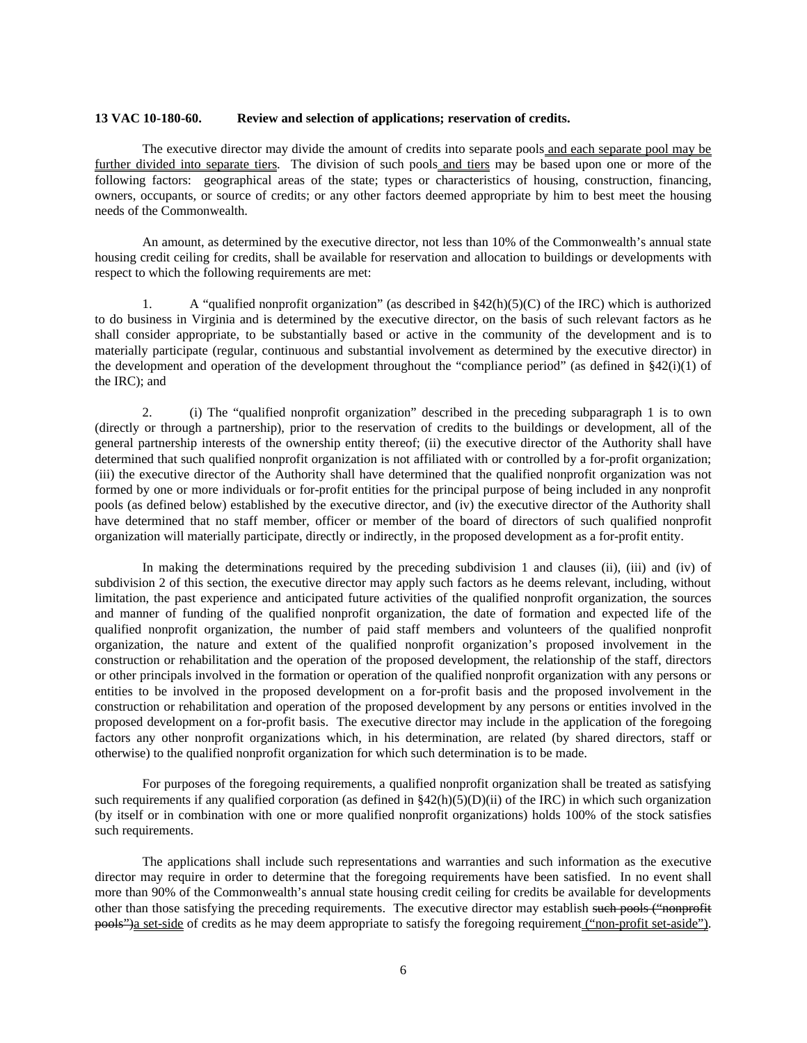## **13 VAC 10-180-60. Review and selection of applications; reservation of credits.**

The executive director may divide the amount of credits into separate pools and each separate pool may be further divided into separate tiers. The division of such pools and tiers may be based upon one or more of the following factors: geographical areas of the state; types or characteristics of housing, construction, financing, owners, occupants, or source of credits; or any other factors deemed appropriate by him to best meet the housing needs of the Commonwealth.

An amount, as determined by the executive director, not less than 10% of the Commonwealth's annual state housing credit ceiling for credits, shall be available for reservation and allocation to buildings or developments with respect to which the following requirements are met:

1. A "qualified nonprofit organization" (as described in  $\frac{842(h)(5)(C)}{2}$  of the IRC) which is authorized to do business in Virginia and is determined by the executive director, on the basis of such relevant factors as he shall consider appropriate, to be substantially based or active in the community of the development and is to materially participate (regular, continuous and substantial involvement as determined by the executive director) in the development and operation of the development throughout the "compliance period" (as defined in  $\S42(i)(1)$  of the IRC); and

2. (i) The "qualified nonprofit organization" described in the preceding subparagraph 1 is to own (directly or through a partnership), prior to the reservation of credits to the buildings or development, all of the general partnership interests of the ownership entity thereof; (ii) the executive director of the Authority shall have determined that such qualified nonprofit organization is not affiliated with or controlled by a for-profit organization; (iii) the executive director of the Authority shall have determined that the qualified nonprofit organization was not formed by one or more individuals or for-profit entities for the principal purpose of being included in any nonprofit pools (as defined below) established by the executive director, and (iv) the executive director of the Authority shall have determined that no staff member, officer or member of the board of directors of such qualified nonprofit organization will materially participate, directly or indirectly, in the proposed development as a for-profit entity.

In making the determinations required by the preceding subdivision 1 and clauses (ii), (iii) and (iv) of subdivision 2 of this section, the executive director may apply such factors as he deems relevant, including, without limitation, the past experience and anticipated future activities of the qualified nonprofit organization, the sources and manner of funding of the qualified nonprofit organization, the date of formation and expected life of the qualified nonprofit organization, the number of paid staff members and volunteers of the qualified nonprofit organization, the nature and extent of the qualified nonprofit organization's proposed involvement in the construction or rehabilitation and the operation of the proposed development, the relationship of the staff, directors or other principals involved in the formation or operation of the qualified nonprofit organization with any persons or entities to be involved in the proposed development on a for-profit basis and the proposed involvement in the construction or rehabilitation and operation of the proposed development by any persons or entities involved in the proposed development on a for-profit basis. The executive director may include in the application of the foregoing factors any other nonprofit organizations which, in his determination, are related (by shared directors, staff or otherwise) to the qualified nonprofit organization for which such determination is to be made.

For purposes of the foregoing requirements, a qualified nonprofit organization shall be treated as satisfying such requirements if any qualified corporation (as defined in  $\S42(h)(5)(D)(ii)$  of the IRC) in which such organization (by itself or in combination with one or more qualified nonprofit organizations) holds 100% of the stock satisfies such requirements.

The applications shall include such representations and warranties and such information as the executive director may require in order to determine that the foregoing requirements have been satisfied. In no event shall more than 90% of the Commonwealth's annual state housing credit ceiling for credits be available for developments other than those satisfying the preceding requirements. The executive director may establish such pools ("nonprofit pools")a set-side of credits as he may deem appropriate to satisfy the foregoing requirement ("non-profit set-aside").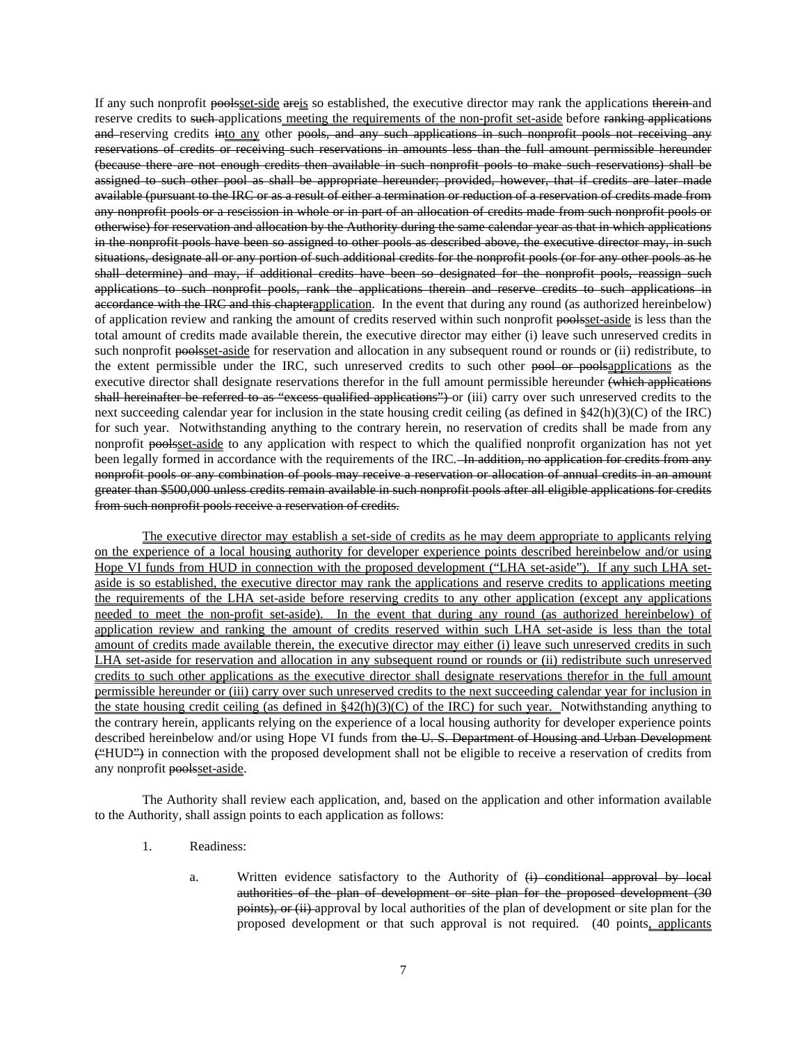If any such nonprofit poolsset-side areis so established, the executive director may rank the applications therein and reserve credits to such applications meeting the requirements of the non-profit set-aside before ranking applications and reserving credits into any other pools, and any such applications in such nonprofit pools not receiving any reservations of credits or receiving such reservations in amounts less than the full amount permissible hereunder (because there are not enough credits then available in such nonprofit pools to make such reservations) shall be assigned to such other pool as shall be appropriate hereunder; provided, however, that if credits are later made available (pursuant to the IRC or as a result of either a termination or reduction of a reservation of credits made from any nonprofit pools or a rescission in whole or in part of an allocation of credits made from such nonprofit pools or otherwise) for reservation and allocation by the Authority during the same calendar year as that in which applications in the nonprofit pools have been so assigned to other pools as described above, the executive director may, in such situations, designate all or any portion of such additional credits for the nonprofit pools (or for any other pools as he shall determine) and may, if additional credits have been so designated for the nonprofit pools, reassign such applications to such nonprofit pools, rank the applications therein and reserve credits to such applications in accordance with the IRC and this chapterapplication. In the event that during any round (as authorized hereinbelow) of application review and ranking the amount of credits reserved within such nonprofit poolsset-aside is less than the total amount of credits made available therein, the executive director may either (i) leave such unreserved credits in such nonprofit poolsset-aside for reservation and allocation in any subsequent round or rounds or (ii) redistribute, to the extent permissible under the IRC, such unreserved credits to such other pool or poolsapplications as the executive director shall designate reservations therefor in the full amount permissible hereunder (which applications shall hereinafter be referred to as "excess qualified applications") or (iii) carry over such unreserved credits to the next succeeding calendar year for inclusion in the state housing credit ceiling (as defined in §42(h)(3)(C) of the IRC) for such year. Notwithstanding anything to the contrary herein, no reservation of credits shall be made from any nonprofit poolsset-aside to any application with respect to which the qualified nonprofit organization has not yet been legally formed in accordance with the requirements of the IRC. In addition, no application for credits from any nonprofit pools or any combination of pools may receive a reservation or allocation of annual credits in an amount greater than \$500,000 unless credits remain available in such nonprofit pools after all eligible applications for credits from such nonprofit pools receive a reservation of credits.

The executive director may establish a set-side of credits as he may deem appropriate to applicants relying on the experience of a local housing authority for developer experience points described hereinbelow and/or using Hope VI funds from HUD in connection with the proposed development ("LHA set-aside"). If any such LHA setaside is so established, the executive director may rank the applications and reserve credits to applications meeting the requirements of the LHA set-aside before reserving credits to any other application (except any applications needed to meet the non-profit set-aside). In the event that during any round (as authorized hereinbelow) of application review and ranking the amount of credits reserved within such LHA set-aside is less than the total amount of credits made available therein, the executive director may either (i) leave such unreserved credits in such LHA set-aside for reservation and allocation in any subsequent round or rounds or (ii) redistribute such unreserved credits to such other applications as the executive director shall designate reservations therefor in the full amount permissible hereunder or (iii) carry over such unreserved credits to the next succeeding calendar year for inclusion in the state housing credit ceiling (as defined in  $\S42(h)(3)(C)$  of the IRC) for such year. Notwithstanding anything to the contrary herein, applicants relying on the experience of a local housing authority for developer experience points described hereinbelow and/or using Hope VI funds from the U.S. Department of Housing and Urban Development ("HUD") in connection with the proposed development shall not be eligible to receive a reservation of credits from any nonprofit poolsset-aside.

The Authority shall review each application, and, based on the application and other information available to the Authority, shall assign points to each application as follows:

- 1. Readiness:
	- a. Written evidence satisfactory to the Authority of  $\overleftrightarrow{H}$  conditional approval by local authorities of the plan of development or site plan for the proposed development (30 points), or (ii) approval by local authorities of the plan of development or site plan for the proposed development or that such approval is not required. (40 points, applicants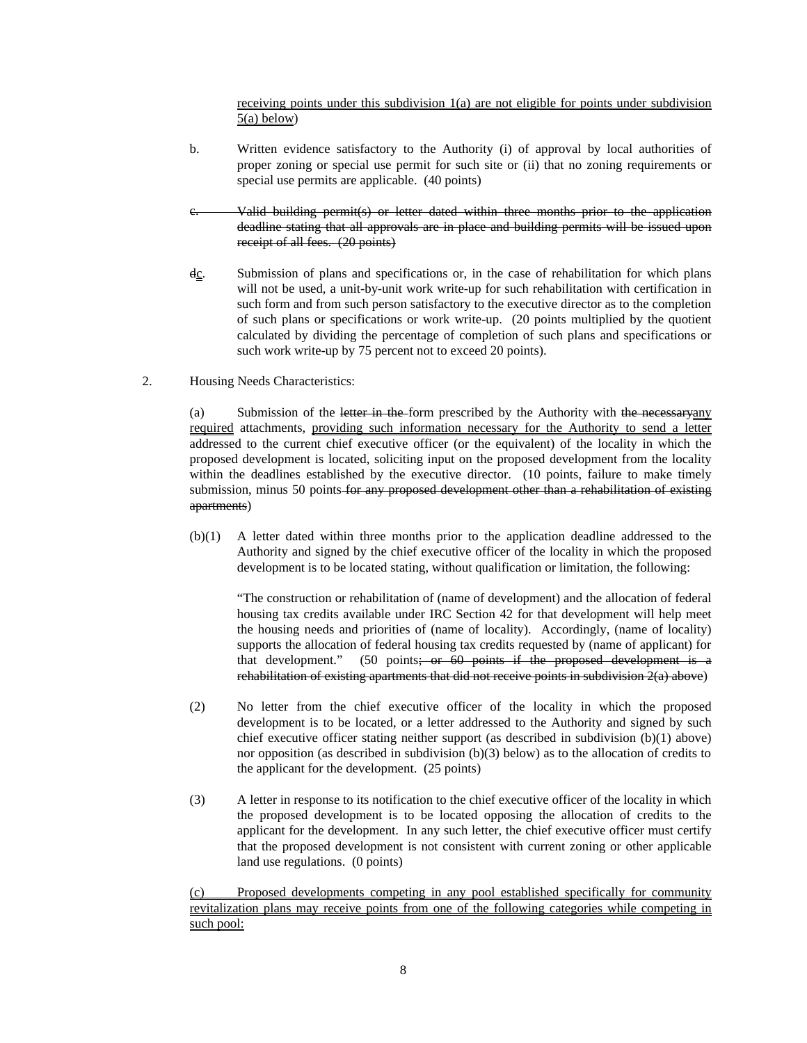receiving points under this subdivision 1(a) are not eligible for points under subdivision 5(a) below)

- b. Written evidence satisfactory to the Authority (i) of approval by local authorities of proper zoning or special use permit for such site or (ii) that no zoning requirements or special use permits are applicable. (40 points)
- Valid building permit(s) or letter dated within three months prior to the application deadline stating that all approvals are in place and building permits will be issued upon receipt of all fees. (20 points)
- $d_{\mathcal{C}}$ . Submission of plans and specifications or, in the case of rehabilitation for which plans will not be used, a unit-by-unit work write-up for such rehabilitation with certification in such form and from such person satisfactory to the executive director as to the completion of such plans or specifications or work write-up. (20 points multiplied by the quotient calculated by dividing the percentage of completion of such plans and specifications or such work write-up by 75 percent not to exceed 20 points).
- 2. Housing Needs Characteristics:

(a) Submission of the letter in the form prescribed by the Authority with the necessaryany required attachments, providing such information necessary for the Authority to send a letter addressed to the current chief executive officer (or the equivalent) of the locality in which the proposed development is located, soliciting input on the proposed development from the locality within the deadlines established by the executive director. (10 points, failure to make timely submission, minus 50 points for any proposed development other than a rehabilitation of existing apartments)

(b)(1) A letter dated within three months prior to the application deadline addressed to the Authority and signed by the chief executive officer of the locality in which the proposed development is to be located stating, without qualification or limitation, the following:

"The construction or rehabilitation of (name of development) and the allocation of federal housing tax credits available under IRC Section 42 for that development will help meet the housing needs and priorities of (name of locality). Accordingly, (name of locality) supports the allocation of federal housing tax credits requested by (name of applicant) for that development." (50 points; or 60 points if the proposed development is a rehabilitation of existing apartments that did not receive points in subdivision 2(a) above)

- (2) No letter from the chief executive officer of the locality in which the proposed development is to be located, or a letter addressed to the Authority and signed by such chief executive officer stating neither support (as described in subdivision (b)(1) above) nor opposition (as described in subdivision (b)(3) below) as to the allocation of credits to the applicant for the development. (25 points)
- (3) A letter in response to its notification to the chief executive officer of the locality in which the proposed development is to be located opposing the allocation of credits to the applicant for the development. In any such letter, the chief executive officer must certify that the proposed development is not consistent with current zoning or other applicable land use regulations. (0 points)

Proposed developments competing in any pool established specifically for community revitalization plans may receive points from one of the following categories while competing in such pool: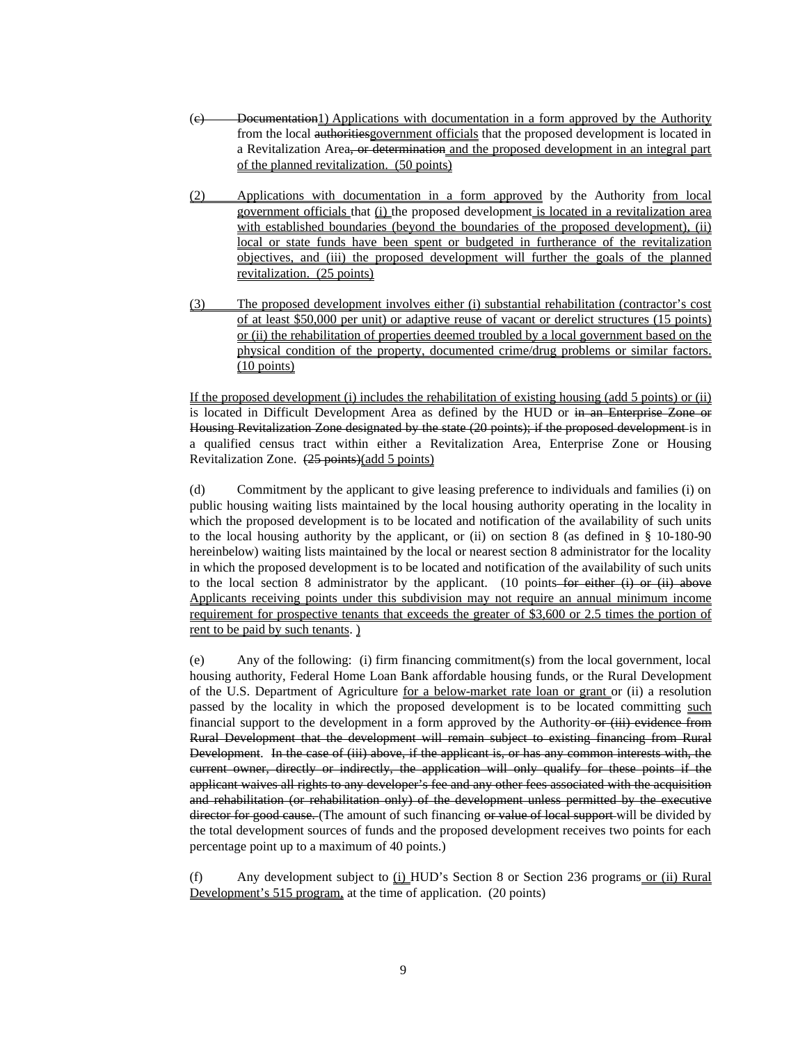- (c) Documentation1) Applications with documentation in a form approved by the Authority from the local authoritiesgovernment officials that the proposed development is located in a Revitalization Area, or determination and the proposed development in an integral part of the planned revitalization. (50 points)
- (2) Applications with documentation in a form approved by the Authority from local government officials that (i) the proposed development is located in a revitalization area with established boundaries (beyond the boundaries of the proposed development), (ii) local or state funds have been spent or budgeted in furtherance of the revitalization objectives, and (iii) the proposed development will further the goals of the planned revitalization. (25 points)
- (3) The proposed development involves either (i) substantial rehabilitation (contractor's cost of at least \$50,000 per unit) or adaptive reuse of vacant or derelict structures (15 points) or (ii) the rehabilitation of properties deemed troubled by a local government based on the physical condition of the property, documented crime/drug problems or similar factors. (10 points)

If the proposed development (i) includes the rehabilitation of existing housing (add 5 points) or (ii) is located in Difficult Development Area as defined by the HUD or in an Enterprise Zone or Housing Revitalization Zone designated by the state (20 points); if the proposed development is in a qualified census tract within either a Revitalization Area, Enterprise Zone or Housing Revitalization Zone. (25 points)(add 5 points)

(d) Commitment by the applicant to give leasing preference to individuals and families (i) on public housing waiting lists maintained by the local housing authority operating in the locality in which the proposed development is to be located and notification of the availability of such units to the local housing authority by the applicant, or (ii) on section 8 (as defined in § 10-180-90 hereinbelow) waiting lists maintained by the local or nearest section 8 administrator for the locality in which the proposed development is to be located and notification of the availability of such units to the local section 8 administrator by the applicant. (10 points–for either  $(i)$  or  $(ii)$  above Applicants receiving points under this subdivision may not require an annual minimum income requirement for prospective tenants that exceeds the greater of \$3,600 or 2.5 times the portion of rent to be paid by such tenants. )

(e) Any of the following: (i) firm financing commitment(s) from the local government, local housing authority, Federal Home Loan Bank affordable housing funds, or the Rural Development of the U.S. Department of Agriculture for a below-market rate loan or grant or (ii) a resolution passed by the locality in which the proposed development is to be located committing such financial support to the development in a form approved by the Authority-or  $(iii)$  evidence from Rural Development that the development will remain subject to existing financing from Rural Development. In the case of (iii) above, if the applicant is, or has any common interests with, the current owner, directly or indirectly, the application will only qualify for these points if the applicant waives all rights to any developer's fee and any other fees associated with the acquisition and rehabilitation (or rehabilitation only) of the development unless permitted by the executive director for good cause. (The amount of such financing or value of local support will be divided by the total development sources of funds and the proposed development receives two points for each percentage point up to a maximum of 40 points.)

(f) Any development subject to (i) HUD's Section 8 or Section 236 programs or (ii) Rural Development's 515 program, at the time of application. (20 points)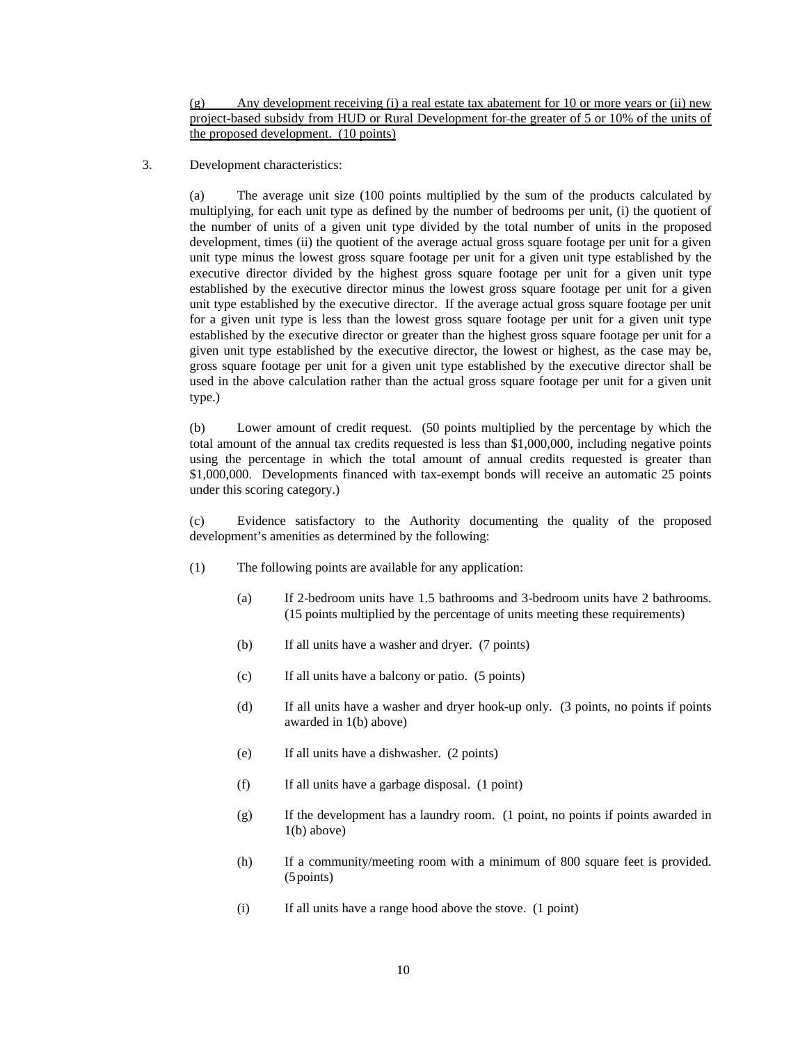$(g)$  Any development receiving (i) a real estate tax abatement for 10 or more years or (ii) new project-based subsidy from HUD or Rural Development for the greater of 5 or 10% of the units of the proposed development. (10 points)

3. Development characteristics:

(a) The average unit size (100 points multiplied by the sum of the products calculated by multiplying, for each unit type as defined by the number of bedrooms per unit, (i) the quotient of the number of units of a given unit type divided by the total number of units in the proposed development, times (ii) the quotient of the average actual gross square footage per unit for a given unit type minus the lowest gross square footage per unit for a given unit type established by the executive director divided by the highest gross square footage per unit for a given unit type established by the executive director minus the lowest gross square footage per unit for a given unit type established by the executive director. If the average actual gross square footage per unit for a given unit type is less than the lowest gross square footage per unit for a given unit type established by the executive director or greater than the highest gross square footage per unit for a given unit type established by the executive director, the lowest or highest, as the case may be, gross square footage per unit for a given unit type established by the executive director shall be used in the above calculation rather than the actual gross square footage per unit for a given unit type.)

(b) Lower amount of credit request. (50 points multiplied by the percentage by which the total amount of the annual tax credits requested is less than \$1,000,000, including negative points using the percentage in which the total amount of annual credits requested is greater than \$1,000,000. Developments financed with tax-exempt bonds will receive an automatic 25 points under this scoring category.)

(c) Evidence satisfactory to the Authority documenting the quality of the proposed development's amenities as determined by the following:

- (1) The following points are available for any application:
	- (a) If 2-bedroom units have 1.5 bathrooms and 3-bedroom units have 2 bathrooms. (15 points multiplied by the percentage of units meeting these requirements)
	- (b) If all units have a washer and dryer. (7 points)
	- (c) If all units have a balcony or patio. (5 points)
	- (d) If all units have a washer and dryer hook-up only. (3 points, no points if points awarded in 1(b) above)
	- (e) If all units have a dishwasher. (2 points)
	- (f) If all units have a garbage disposal. (1 point)
	- (g) If the development has a laundry room. (1 point, no points if points awarded in 1(b) above)
	- (h) If a community/meeting room with a minimum of 800 square feet is provided. (5points)
	- (i) If all units have a range hood above the stove. (1 point)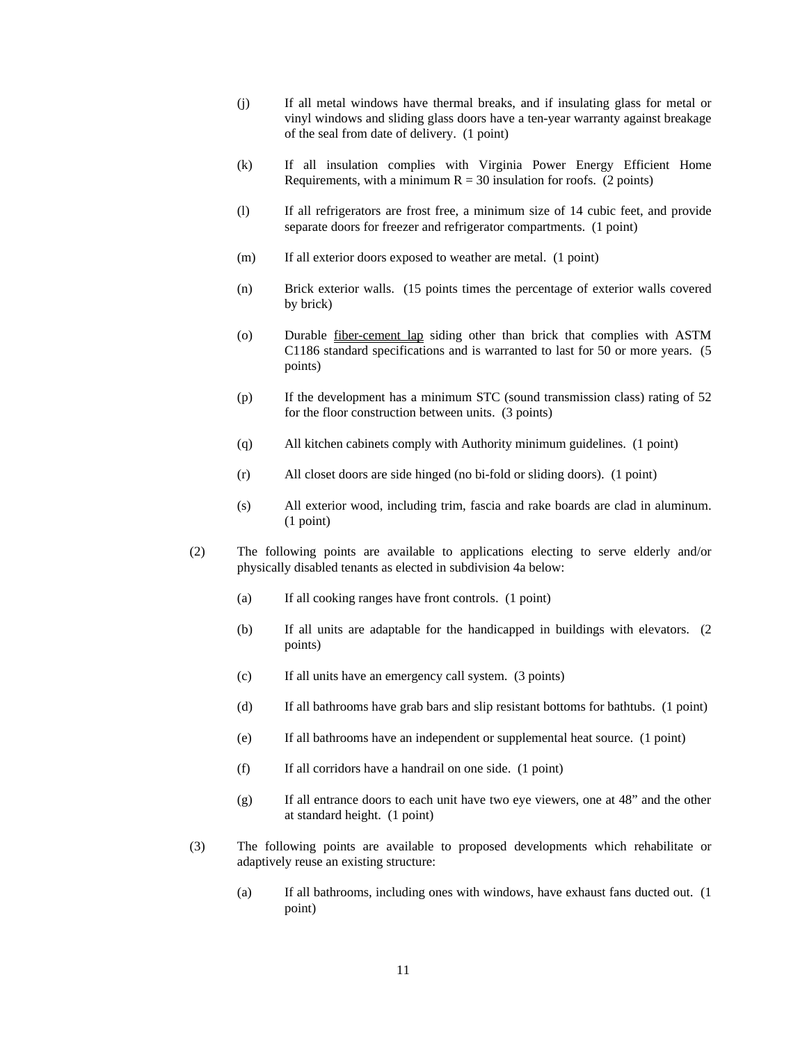- (j) If all metal windows have thermal breaks, and if insulating glass for metal or vinyl windows and sliding glass doors have a ten-year warranty against breakage of the seal from date of delivery. (1 point)
- (k) If all insulation complies with Virginia Power Energy Efficient Home Requirements, with a minimum  $R = 30$  insulation for roofs. (2 points)
- (l) If all refrigerators are frost free, a minimum size of 14 cubic feet, and provide separate doors for freezer and refrigerator compartments. (1 point)
- (m) If all exterior doors exposed to weather are metal. (1 point)
- (n) Brick exterior walls. (15 points times the percentage of exterior walls covered by brick)
- (o) Durable fiber-cement lap siding other than brick that complies with ASTM C1186 standard specifications and is warranted to last for 50 or more years. (5 points)
- (p) If the development has a minimum STC (sound transmission class) rating of 52 for the floor construction between units. (3 points)
- (q) All kitchen cabinets comply with Authority minimum guidelines. (1 point)
- (r) All closet doors are side hinged (no bi-fold or sliding doors). (1 point)
- (s) All exterior wood, including trim, fascia and rake boards are clad in aluminum. (1 point)
- (2) The following points are available to applications electing to serve elderly and/or physically disabled tenants as elected in subdivision 4a below:
	- (a) If all cooking ranges have front controls. (1 point)
	- (b) If all units are adaptable for the handicapped in buildings with elevators. (2 points)
	- (c) If all units have an emergency call system. (3 points)
	- (d) If all bathrooms have grab bars and slip resistant bottoms for bathtubs. (1 point)
	- (e) If all bathrooms have an independent or supplemental heat source. (1 point)
	- (f) If all corridors have a handrail on one side. (1 point)
	- (g) If all entrance doors to each unit have two eye viewers, one at 48" and the other at standard height. (1 point)
- (3) The following points are available to proposed developments which rehabilitate or adaptively reuse an existing structure:
	- (a) If all bathrooms, including ones with windows, have exhaust fans ducted out. (1 point)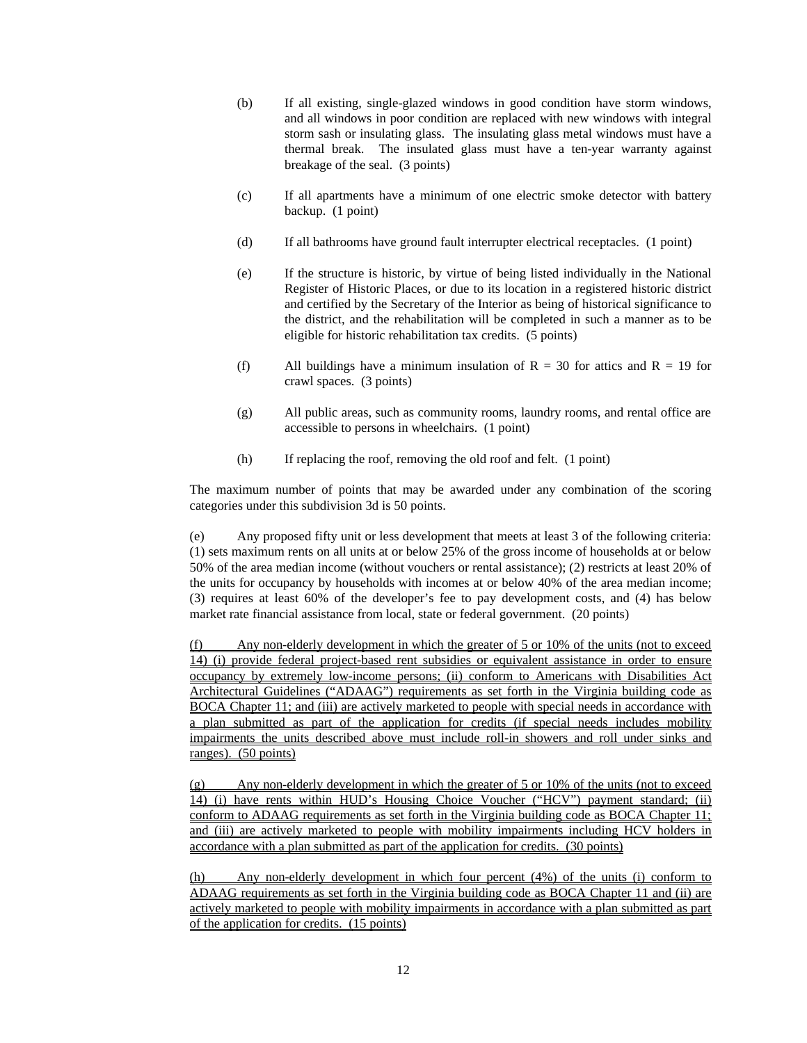- (b) If all existing, single-glazed windows in good condition have storm windows, and all windows in poor condition are replaced with new windows with integral storm sash or insulating glass. The insulating glass metal windows must have a thermal break. The insulated glass must have a ten-year warranty against breakage of the seal. (3 points)
- (c) If all apartments have a minimum of one electric smoke detector with battery backup. (1 point)
- (d) If all bathrooms have ground fault interrupter electrical receptacles. (1 point)
- (e) If the structure is historic, by virtue of being listed individually in the National Register of Historic Places, or due to its location in a registered historic district and certified by the Secretary of the Interior as being of historical significance to the district, and the rehabilitation will be completed in such a manner as to be eligible for historic rehabilitation tax credits. (5 points)
- (f) All buildings have a minimum insulation of  $R = 30$  for attics and  $R = 19$  for crawl spaces. (3 points)
- (g) All public areas, such as community rooms, laundry rooms, and rental office are accessible to persons in wheelchairs. (1 point)
- (h) If replacing the roof, removing the old roof and felt. (1 point)

The maximum number of points that may be awarded under any combination of the scoring categories under this subdivision 3d is 50 points.

(e) Any proposed fifty unit or less development that meets at least 3 of the following criteria: (1) sets maximum rents on all units at or below 25% of the gross income of households at or below 50% of the area median income (without vouchers or rental assistance); (2) restricts at least 20% of the units for occupancy by households with incomes at or below 40% of the area median income; (3) requires at least 60% of the developer's fee to pay development costs, and (4) has below market rate financial assistance from local, state or federal government. (20 points)

(f) Any non-elderly development in which the greater of 5 or 10% of the units (not to exceed 14) (i) provide federal project-based rent subsidies or equivalent assistance in order to ensure occupancy by extremely low-income persons; (ii) conform to Americans with Disabilities Act Architectural Guidelines ("ADAAG") requirements as set forth in the Virginia building code as BOCA Chapter 11; and (iii) are actively marketed to people with special needs in accordance with a plan submitted as part of the application for credits (if special needs includes mobility impairments the units described above must include roll-in showers and roll under sinks and ranges). (50 points)

(g) Any non-elderly development in which the greater of 5 or 10% of the units (not to exceed 14) (i) have rents within HUD's Housing Choice Voucher ("HCV") payment standard; (ii) conform to ADAAG requirements as set forth in the Virginia building code as BOCA Chapter 11; and (iii) are actively marketed to people with mobility impairments including HCV holders in accordance with a plan submitted as part of the application for credits. (30 points)

(h) Any non-elderly development in which four percent (4%) of the units (i) conform to ADAAG requirements as set forth in the Virginia building code as BOCA Chapter 11 and (ii) are actively marketed to people with mobility impairments in accordance with a plan submitted as part of the application for credits. (15 points)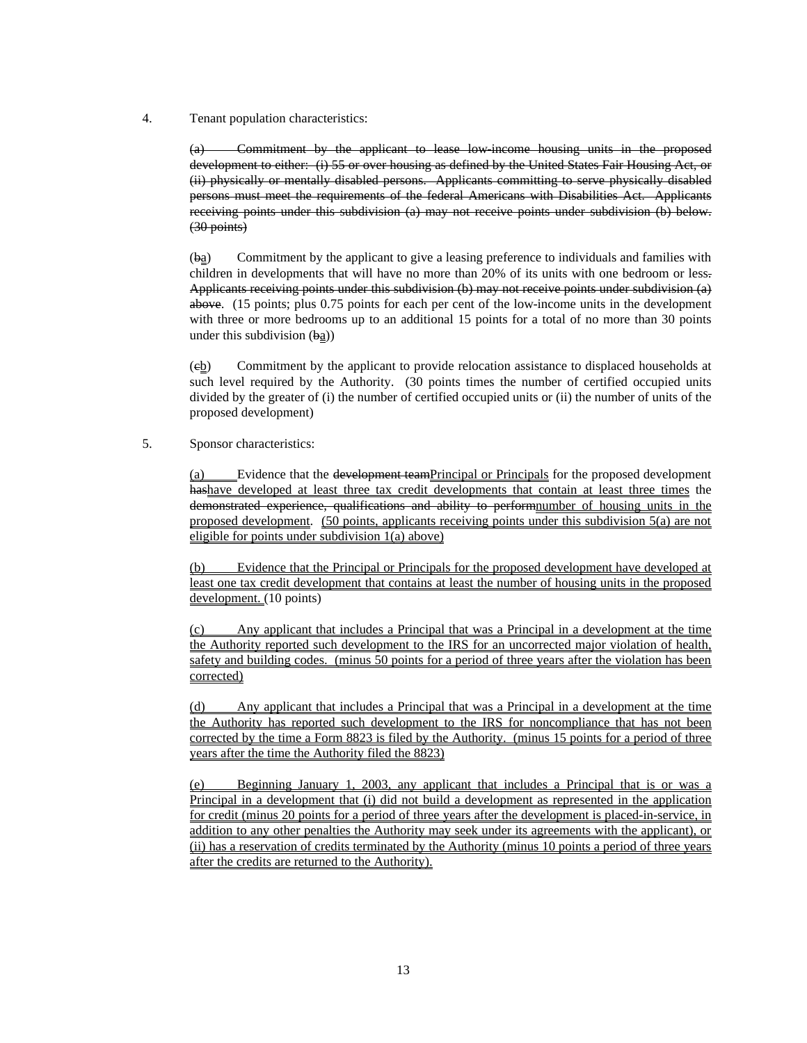4. Tenant population characteristics:

(a) Commitment by the applicant to lease low-income housing units in the proposed development to either: (i) 55 or over housing as defined by the United States Fair Housing Act, or (ii) physically or mentally disabled persons. Applicants committing to serve physically disabled persons must meet the requirements of the federal Americans with Disabilities Act. Applicants receiving points under this subdivision (a) may not receive points under subdivision (b) below. (30 points)

(ba) Commitment by the applicant to give a leasing preference to individuals and families with children in developments that will have no more than 20% of its units with one bedroom or less. Applicants receiving points under this subdivision (b) may not receive points under subdivision (a) above. (15 points; plus 0.75 points for each per cent of the low-income units in the development with three or more bedrooms up to an additional 15 points for a total of no more than 30 points under this subdivision  $(\frac{ba}{2})$ 

(cb) Commitment by the applicant to provide relocation assistance to displaced households at such level required by the Authority. (30 points times the number of certified occupied units divided by the greater of (i) the number of certified occupied units or (ii) the number of units of the proposed development)

5. Sponsor characteristics:

(a) Evidence that the development teamPrincipal or Principals for the proposed development hashave developed at least three tax credit developments that contain at least three times the demonstrated experience, qualifications and ability to perform number of housing units in the proposed development. (50 points, applicants receiving points under this subdivision 5(a) are not eligible for points under subdivision 1(a) above)

Evidence that the Principal or Principals for the proposed development have developed at least one tax credit development that contains at least the number of housing units in the proposed development. (10 points)

(c) Any applicant that includes a Principal that was a Principal in a development at the time the Authority reported such development to the IRS for an uncorrected major violation of health, safety and building codes. (minus 50 points for a period of three years after the violation has been corrected)

(d) Any applicant that includes a Principal that was a Principal in a development at the time the Authority has reported such development to the IRS for noncompliance that has not been corrected by the time a Form 8823 is filed by the Authority. (minus 15 points for a period of three years after the time the Authority filed the 8823)

(e) Beginning January 1, 2003, any applicant that includes a Principal that is or was a Principal in a development that (i) did not build a development as represented in the application for credit (minus 20 points for a period of three years after the development is placed-in-service, in addition to any other penalties the Authority may seek under its agreements with the applicant), or (ii) has a reservation of credits terminated by the Authority (minus 10 points a period of three years after the credits are returned to the Authority).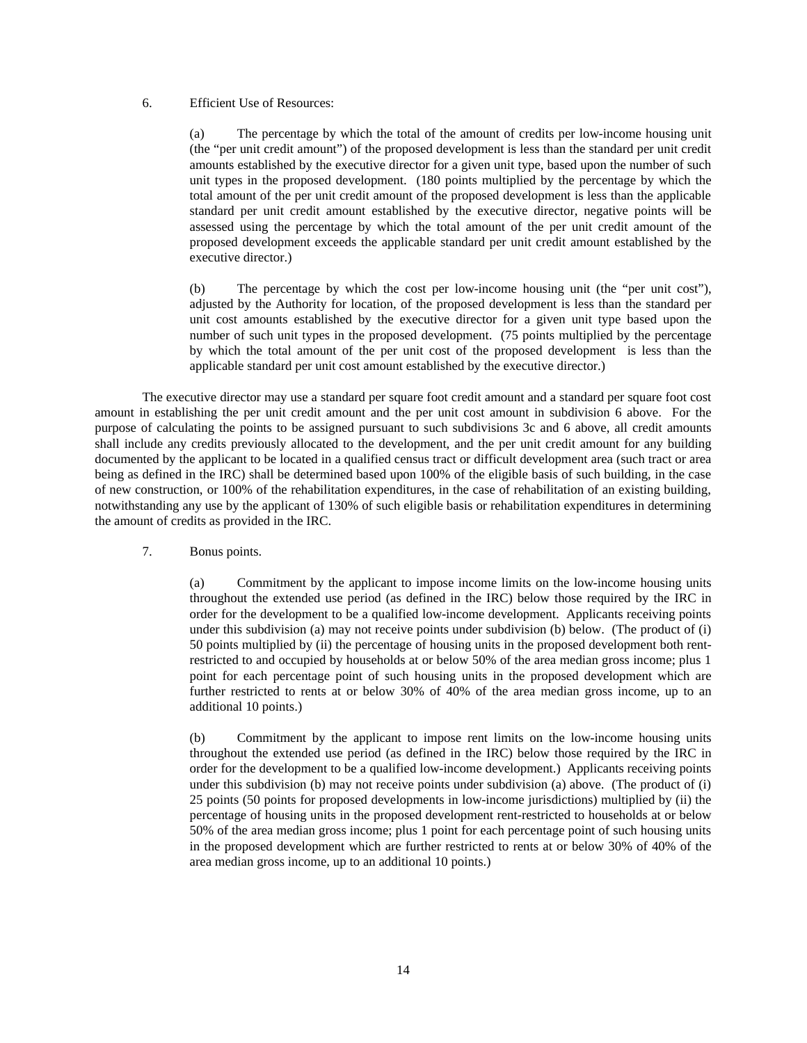## 6. Efficient Use of Resources:

(a) The percentage by which the total of the amount of credits per low-income housing unit (the "per unit credit amount") of the proposed development is less than the standard per unit credit amounts established by the executive director for a given unit type, based upon the number of such unit types in the proposed development. (180 points multiplied by the percentage by which the total amount of the per unit credit amount of the proposed development is less than the applicable standard per unit credit amount established by the executive director, negative points will be assessed using the percentage by which the total amount of the per unit credit amount of the proposed development exceeds the applicable standard per unit credit amount established by the executive director.)

(b) The percentage by which the cost per low-income housing unit (the "per unit cost"), adjusted by the Authority for location, of the proposed development is less than the standard per unit cost amounts established by the executive director for a given unit type based upon the number of such unit types in the proposed development. (75 points multiplied by the percentage by which the total amount of the per unit cost of the proposed development is less than the applicable standard per unit cost amount established by the executive director.)

The executive director may use a standard per square foot credit amount and a standard per square foot cost amount in establishing the per unit credit amount and the per unit cost amount in subdivision 6 above. For the purpose of calculating the points to be assigned pursuant to such subdivisions 3c and 6 above, all credit amounts shall include any credits previously allocated to the development, and the per unit credit amount for any building documented by the applicant to be located in a qualified census tract or difficult development area (such tract or area being as defined in the IRC) shall be determined based upon 100% of the eligible basis of such building, in the case of new construction, or 100% of the rehabilitation expenditures, in the case of rehabilitation of an existing building, notwithstanding any use by the applicant of 130% of such eligible basis or rehabilitation expenditures in determining the amount of credits as provided in the IRC.

7. Bonus points.

(a) Commitment by the applicant to impose income limits on the low-income housing units throughout the extended use period (as defined in the IRC) below those required by the IRC in order for the development to be a qualified low-income development. Applicants receiving points under this subdivision (a) may not receive points under subdivision (b) below. (The product of (i) 50 points multiplied by (ii) the percentage of housing units in the proposed development both rentrestricted to and occupied by households at or below 50% of the area median gross income; plus 1 point for each percentage point of such housing units in the proposed development which are further restricted to rents at or below 30% of 40% of the area median gross income, up to an additional 10 points.)

(b) Commitment by the applicant to impose rent limits on the low-income housing units throughout the extended use period (as defined in the IRC) below those required by the IRC in order for the development to be a qualified low-income development.) Applicants receiving points under this subdivision (b) may not receive points under subdivision (a) above. (The product of (i) 25 points (50 points for proposed developments in low-income jurisdictions) multiplied by (ii) the percentage of housing units in the proposed development rent-restricted to households at or below 50% of the area median gross income; plus 1 point for each percentage point of such housing units in the proposed development which are further restricted to rents at or below 30% of 40% of the area median gross income, up to an additional 10 points.)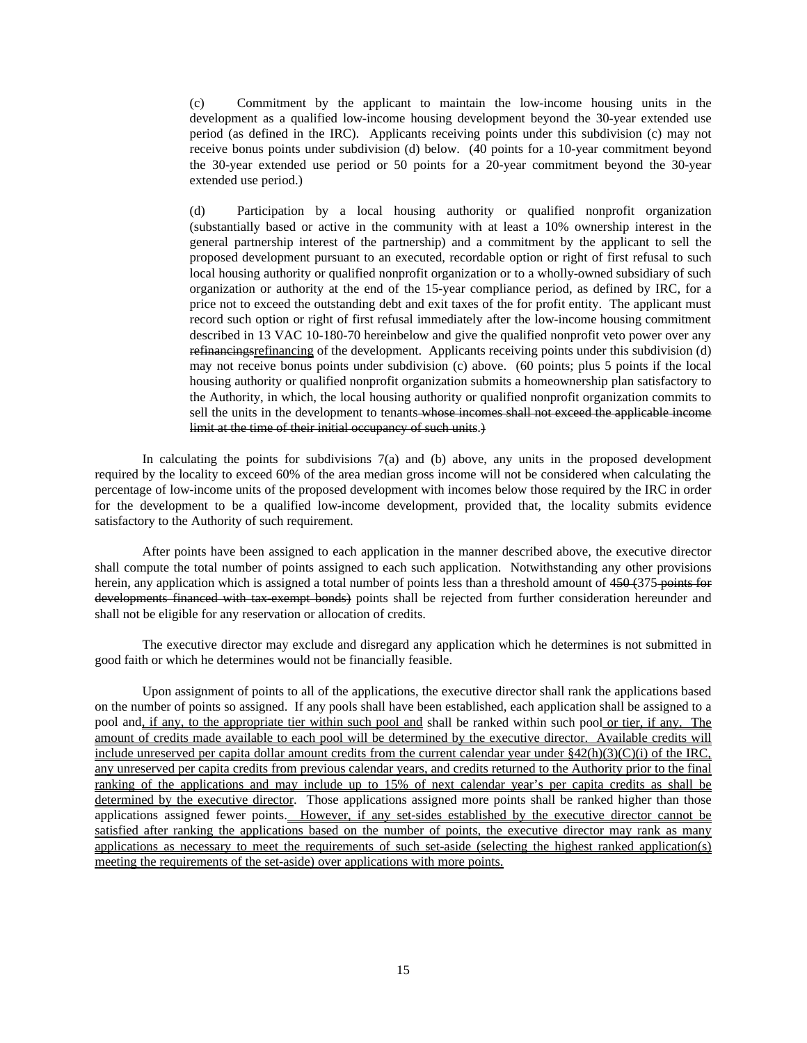(c) Commitment by the applicant to maintain the low-income housing units in the development as a qualified low-income housing development beyond the 30-year extended use period (as defined in the IRC). Applicants receiving points under this subdivision (c) may not receive bonus points under subdivision (d) below. (40 points for a 10-year commitment beyond the 30-year extended use period or 50 points for a 20-year commitment beyond the 30-year extended use period.)

(d) Participation by a local housing authority or qualified nonprofit organization (substantially based or active in the community with at least a 10% ownership interest in the general partnership interest of the partnership) and a commitment by the applicant to sell the proposed development pursuant to an executed, recordable option or right of first refusal to such local housing authority or qualified nonprofit organization or to a wholly-owned subsidiary of such organization or authority at the end of the 15-year compliance period, as defined by IRC, for a price not to exceed the outstanding debt and exit taxes of the for profit entity. The applicant must record such option or right of first refusal immediately after the low-income housing commitment described in 13 VAC 10-180-70 hereinbelow and give the qualified nonprofit veto power over any refinancing of the development. Applicants receiving points under this subdivision (d) may not receive bonus points under subdivision (c) above. (60 points; plus 5 points if the local housing authority or qualified nonprofit organization submits a homeownership plan satisfactory to the Authority, in which, the local housing authority or qualified nonprofit organization commits to sell the units in the development to tenants whose incomes shall not exceed the applicable income limit at the time of their initial occupancy of such units.)

In calculating the points for subdivisions 7(a) and (b) above, any units in the proposed development required by the locality to exceed 60% of the area median gross income will not be considered when calculating the percentage of low-income units of the proposed development with incomes below those required by the IRC in order for the development to be a qualified low-income development, provided that, the locality submits evidence satisfactory to the Authority of such requirement.

After points have been assigned to each application in the manner described above, the executive director shall compute the total number of points assigned to each such application. Notwithstanding any other provisions herein, any application which is assigned a total number of points less than a threshold amount of 450 (375 points for developments financed with tax exempt bonds) points shall be rejected from further consideration hereunder and shall not be eligible for any reservation or allocation of credits.

The executive director may exclude and disregard any application which he determines is not submitted in good faith or which he determines would not be financially feasible.

Upon assignment of points to all of the applications, the executive director shall rank the applications based on the number of points so assigned. If any pools shall have been established, each application shall be assigned to a pool and, if any, to the appropriate tier within such pool and shall be ranked within such pool or tier, if any. The amount of credits made available to each pool will be determined by the executive director. Available credits will include unreserved per capita dollar amount credits from the current calendar year under §42(h)(3)(C)(i) of the IRC, any unreserved per capita credits from previous calendar years, and credits returned to the Authority prior to the final ranking of the applications and may include up to 15% of next calendar year's per capita credits as shall be determined by the executive director. Those applications assigned more points shall be ranked higher than those applications assigned fewer points. However, if any set-sides established by the executive director cannot be satisfied after ranking the applications based on the number of points, the executive director may rank as many applications as necessary to meet the requirements of such set-aside (selecting the highest ranked application(s) meeting the requirements of the set-aside) over applications with more points.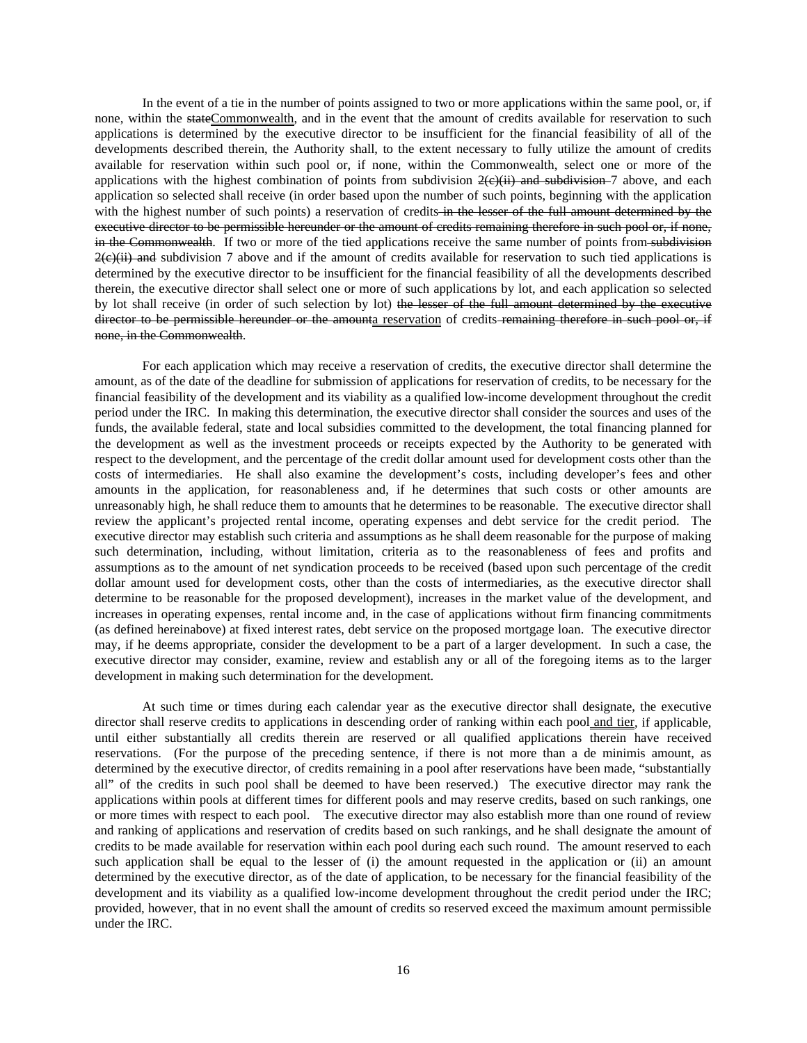In the event of a tie in the number of points assigned to two or more applications within the same pool, or, if none, within the stateCommonwealth, and in the event that the amount of credits available for reservation to such applications is determined by the executive director to be insufficient for the financial feasibility of all of the developments described therein, the Authority shall, to the extent necessary to fully utilize the amount of credits available for reservation within such pool or, if none, within the Commonwealth, select one or more of the applications with the highest combination of points from subdivision  $2(e)(ii)$  and subdivision-7 above, and each application so selected shall receive (in order based upon the number of such points, beginning with the application with the highest number of such points) a reservation of credits in the lesser of the full amount determined by the executive director to be permissible hereunder or the amount of credits remaining therefore in such pool or, if none, in the Commonwealth. If two or more of the tied applications receive the same number of points from subdivision  $2(e)$ (ii) and subdivision 7 above and if the amount of credits available for reservation to such tied applications is determined by the executive director to be insufficient for the financial feasibility of all the developments described therein, the executive director shall select one or more of such applications by lot, and each application so selected by lot shall receive (in order of such selection by lot) the lesser of the full amount determined by the executive director to be permissible hereunder or the amounta reservation of credits remaining therefore in such pool or, if none, in the Commonwealth.

For each application which may receive a reservation of credits, the executive director shall determine the amount, as of the date of the deadline for submission of applications for reservation of credits, to be necessary for the financial feasibility of the development and its viability as a qualified low-income development throughout the credit period under the IRC. In making this determination, the executive director shall consider the sources and uses of the funds, the available federal, state and local subsidies committed to the development, the total financing planned for the development as well as the investment proceeds or receipts expected by the Authority to be generated with respect to the development, and the percentage of the credit dollar amount used for development costs other than the costs of intermediaries. He shall also examine the development's costs, including developer's fees and other amounts in the application, for reasonableness and, if he determines that such costs or other amounts are unreasonably high, he shall reduce them to amounts that he determines to be reasonable. The executive director shall review the applicant's projected rental income, operating expenses and debt service for the credit period. The executive director may establish such criteria and assumptions as he shall deem reasonable for the purpose of making such determination, including, without limitation, criteria as to the reasonableness of fees and profits and assumptions as to the amount of net syndication proceeds to be received (based upon such percentage of the credit dollar amount used for development costs, other than the costs of intermediaries, as the executive director shall determine to be reasonable for the proposed development), increases in the market value of the development, and increases in operating expenses, rental income and, in the case of applications without firm financing commitments (as defined hereinabove) at fixed interest rates, debt service on the proposed mortgage loan. The executive director may, if he deems appropriate, consider the development to be a part of a larger development. In such a case, the executive director may consider, examine, review and establish any or all of the foregoing items as to the larger development in making such determination for the development.

At such time or times during each calendar year as the executive director shall designate, the executive director shall reserve credits to applications in descending order of ranking within each pool and tier, if applicable, until either substantially all credits therein are reserved or all qualified applications therein have received reservations. (For the purpose of the preceding sentence, if there is not more than a de minimis amount, as determined by the executive director, of credits remaining in a pool after reservations have been made, "substantially all" of the credits in such pool shall be deemed to have been reserved.) The executive director may rank the applications within pools at different times for different pools and may reserve credits, based on such rankings, one or more times with respect to each pool. The executive director may also establish more than one round of review and ranking of applications and reservation of credits based on such rankings, and he shall designate the amount of credits to be made available for reservation within each pool during each such round. The amount reserved to each such application shall be equal to the lesser of (i) the amount requested in the application or (ii) an amount determined by the executive director, as of the date of application, to be necessary for the financial feasibility of the development and its viability as a qualified low-income development throughout the credit period under the IRC; provided, however, that in no event shall the amount of credits so reserved exceed the maximum amount permissible under the IRC.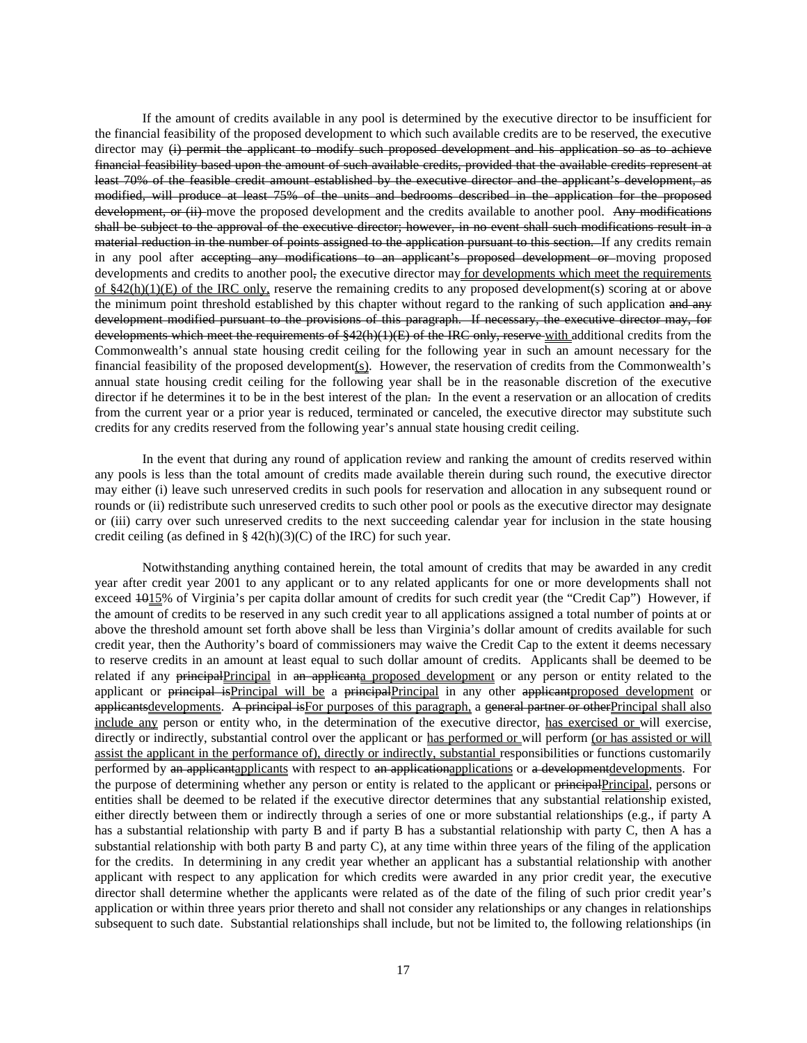If the amount of credits available in any pool is determined by the executive director to be insufficient for the financial feasibility of the proposed development to which such available credits are to be reserved, the executive director may (i) permit the applicant to modify such proposed development and his application so as to achieve financial feasibility based upon the amount of such available credits, provided that the available credits represent at least 70% of the feasible credit amount established by the executive director and the applicant's development, as modified, will produce at least 75% of the units and bedrooms described in the application for the proposed development, or (ii) move the proposed development and the credits available to another pool. Any modifications shall be subject to the approval of the executive director; however, in no event shall such modifications result in a material reduction in the number of points assigned to the application pursuant to this section. If any credits remain in any pool after accepting any modifications to an applicant's proposed development or moving proposed developments and credits to another pool, the executive director may for developments which meet the requirements of §42(h)(1)(E) of the IRC only, reserve the remaining credits to any proposed development(s) scoring at or above the minimum point threshold established by this chapter without regard to the ranking of such application and any development modified pursuant to the provisions of this paragraph. If necessary, the executive director may, for developments which meet the requirements of §42(h)(1)(E) of the IRC only, reserve with additional credits from the Commonwealth's annual state housing credit ceiling for the following year in such an amount necessary for the financial feasibility of the proposed development(s). However, the reservation of credits from the Commonwealth's annual state housing credit ceiling for the following year shall be in the reasonable discretion of the executive director if he determines it to be in the best interest of the plan. In the event a reservation or an allocation of credits from the current year or a prior year is reduced, terminated or canceled, the executive director may substitute such credits for any credits reserved from the following year's annual state housing credit ceiling.

In the event that during any round of application review and ranking the amount of credits reserved within any pools is less than the total amount of credits made available therein during such round, the executive director may either (i) leave such unreserved credits in such pools for reservation and allocation in any subsequent round or rounds or (ii) redistribute such unreserved credits to such other pool or pools as the executive director may designate or (iii) carry over such unreserved credits to the next succeeding calendar year for inclusion in the state housing credit ceiling (as defined in § 42(h)(3)(C) of the IRC) for such year.

Notwithstanding anything contained herein, the total amount of credits that may be awarded in any credit year after credit year 2001 to any applicant or to any related applicants for one or more developments shall not exceed  $1015%$  of Virginia's per capita dollar amount of credits for such credit year (the "Credit Cap") However, if the amount of credits to be reserved in any such credit year to all applications assigned a total number of points at or above the threshold amount set forth above shall be less than Virginia's dollar amount of credits available for such credit year, then the Authority's board of commissioners may waive the Credit Cap to the extent it deems necessary to reserve credits in an amount at least equal to such dollar amount of credits. Applicants shall be deemed to be related if any principalPrincipal in an applicanta proposed development or any person or entity related to the applicant or **principal isPrincipal** will be a **principalPrincipal in any other applicantproposed** development or applicantsdevelopments. A principal is For purposes of this paragraph, a general partner or other Principal shall also include any person or entity who, in the determination of the executive director, has exercised or will exercise, directly or indirectly, substantial control over the applicant or has performed or will perform (or has assisted or will assist the applicant in the performance of), directly or indirectly, substantial responsibilities or functions customarily performed by an applicantapplicants with respect to an applicationapplications or a developmentdevelopments. For the purpose of determining whether any person or entity is related to the applicant or principalPrincipal, persons or entities shall be deemed to be related if the executive director determines that any substantial relationship existed, either directly between them or indirectly through a series of one or more substantial relationships (e.g., if party A has a substantial relationship with party B and if party B has a substantial relationship with party C, then A has a substantial relationship with both party B and party C), at any time within three years of the filing of the application for the credits. In determining in any credit year whether an applicant has a substantial relationship with another applicant with respect to any application for which credits were awarded in any prior credit year, the executive director shall determine whether the applicants were related as of the date of the filing of such prior credit year's application or within three years prior thereto and shall not consider any relationships or any changes in relationships subsequent to such date. Substantial relationships shall include, but not be limited to, the following relationships (in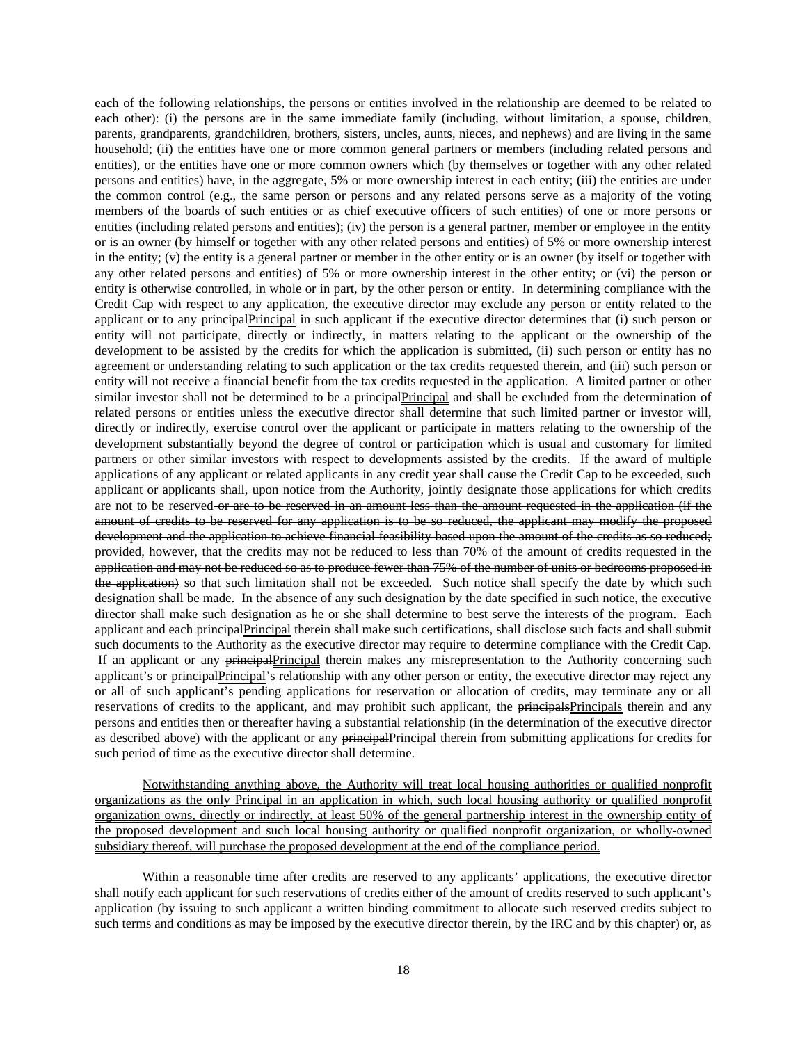each of the following relationships, the persons or entities involved in the relationship are deemed to be related to each other): (i) the persons are in the same immediate family (including, without limitation, a spouse, children, parents, grandparents, grandchildren, brothers, sisters, uncles, aunts, nieces, and nephews) and are living in the same household; (ii) the entities have one or more common general partners or members (including related persons and entities), or the entities have one or more common owners which (by themselves or together with any other related persons and entities) have, in the aggregate, 5% or more ownership interest in each entity; (iii) the entities are under the common control (e.g., the same person or persons and any related persons serve as a majority of the voting members of the boards of such entities or as chief executive officers of such entities) of one or more persons or entities (including related persons and entities); (iv) the person is a general partner, member or employee in the entity or is an owner (by himself or together with any other related persons and entities) of 5% or more ownership interest in the entity; (v) the entity is a general partner or member in the other entity or is an owner (by itself or together with any other related persons and entities) of 5% or more ownership interest in the other entity; or (vi) the person or entity is otherwise controlled, in whole or in part, by the other person or entity. In determining compliance with the Credit Cap with respect to any application, the executive director may exclude any person or entity related to the applicant or to any principalPrincipal in such applicant if the executive director determines that (i) such person or entity will not participate, directly or indirectly, in matters relating to the applicant or the ownership of the development to be assisted by the credits for which the application is submitted, (ii) such person or entity has no agreement or understanding relating to such application or the tax credits requested therein, and (iii) such person or entity will not receive a financial benefit from the tax credits requested in the application. A limited partner or other similar investor shall not be determined to be a principal Principal and shall be excluded from the determination of related persons or entities unless the executive director shall determine that such limited partner or investor will, directly or indirectly, exercise control over the applicant or participate in matters relating to the ownership of the development substantially beyond the degree of control or participation which is usual and customary for limited partners or other similar investors with respect to developments assisted by the credits. If the award of multiple applications of any applicant or related applicants in any credit year shall cause the Credit Cap to be exceeded, such applicant or applicants shall, upon notice from the Authority, jointly designate those applications for which credits are not to be reserved-or are to be reserved in an amount less than the amount requested in the application (if the amount of credits to be reserved for any application is to be so reduced, the applicant may modify the proposed development and the application to achieve financial feasibility based upon the amount of the credits as so reduced; provided, however, that the credits may not be reduced to less than 70% of the amount of credits requested in the application and may not be reduced so as to produce fewer than 75% of the number of units or bedrooms proposed in the application) so that such limitation shall not be exceeded. Such notice shall specify the date by which such designation shall be made. In the absence of any such designation by the date specified in such notice, the executive director shall make such designation as he or she shall determine to best serve the interests of the program. Each applicant and each principalPrincipal therein shall make such certifications, shall disclose such facts and shall submit such documents to the Authority as the executive director may require to determine compliance with the Credit Cap. If an applicant or any principalPrincipal therein makes any misrepresentation to the Authority concerning such applicant's or principalPrincipal's relationship with any other person or entity, the executive director may reject any or all of such applicant's pending applications for reservation or allocation of credits, may terminate any or all reservations of credits to the applicant, and may prohibit such applicant, the principalsPrincipals therein and any persons and entities then or thereafter having a substantial relationship (in the determination of the executive director as described above) with the applicant or any principalPrincipal therein from submitting applications for credits for such period of time as the executive director shall determine.

Notwithstanding anything above, the Authority will treat local housing authorities or qualified nonprofit organizations as the only Principal in an application in which, such local housing authority or qualified nonprofit organization owns, directly or indirectly, at least 50% of the general partnership interest in the ownership entity of the proposed development and such local housing authority or qualified nonprofit organization, or wholly-owned subsidiary thereof, will purchase the proposed development at the end of the compliance period.

Within a reasonable time after credits are reserved to any applicants' applications, the executive director shall notify each applicant for such reservations of credits either of the amount of credits reserved to such applicant's application (by issuing to such applicant a written binding commitment to allocate such reserved credits subject to such terms and conditions as may be imposed by the executive director therein, by the IRC and by this chapter) or, as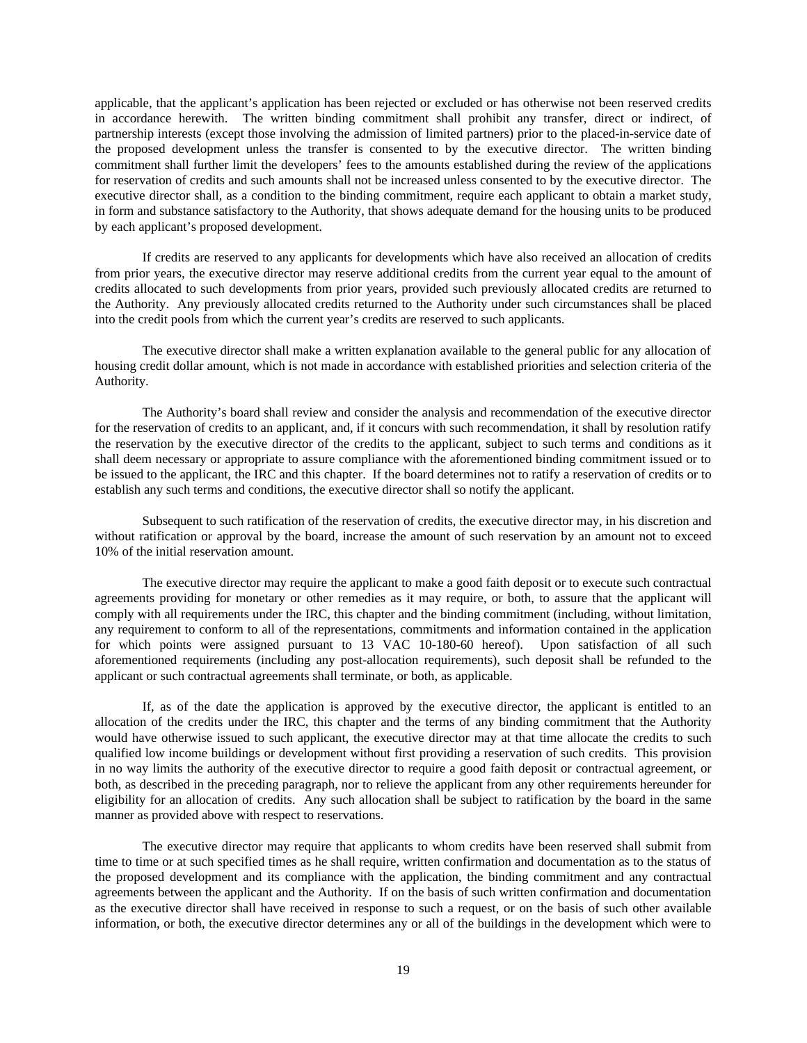applicable, that the applicant's application has been rejected or excluded or has otherwise not been reserved credits in accordance herewith. The written binding commitment shall prohibit any transfer, direct or indirect, of partnership interests (except those involving the admission of limited partners) prior to the placed-in-service date of the proposed development unless the transfer is consented to by the executive director. The written binding commitment shall further limit the developers' fees to the amounts established during the review of the applications for reservation of credits and such amounts shall not be increased unless consented to by the executive director. The executive director shall, as a condition to the binding commitment, require each applicant to obtain a market study, in form and substance satisfactory to the Authority, that shows adequate demand for the housing units to be produced by each applicant's proposed development.

If credits are reserved to any applicants for developments which have also received an allocation of credits from prior years, the executive director may reserve additional credits from the current year equal to the amount of credits allocated to such developments from prior years, provided such previously allocated credits are returned to the Authority. Any previously allocated credits returned to the Authority under such circumstances shall be placed into the credit pools from which the current year's credits are reserved to such applicants.

The executive director shall make a written explanation available to the general public for any allocation of housing credit dollar amount, which is not made in accordance with established priorities and selection criteria of the Authority.

The Authority's board shall review and consider the analysis and recommendation of the executive director for the reservation of credits to an applicant, and, if it concurs with such recommendation, it shall by resolution ratify the reservation by the executive director of the credits to the applicant, subject to such terms and conditions as it shall deem necessary or appropriate to assure compliance with the aforementioned binding commitment issued or to be issued to the applicant, the IRC and this chapter. If the board determines not to ratify a reservation of credits or to establish any such terms and conditions, the executive director shall so notify the applicant.

Subsequent to such ratification of the reservation of credits, the executive director may, in his discretion and without ratification or approval by the board, increase the amount of such reservation by an amount not to exceed 10% of the initial reservation amount.

The executive director may require the applicant to make a good faith deposit or to execute such contractual agreements providing for monetary or other remedies as it may require, or both, to assure that the applicant will comply with all requirements under the IRC, this chapter and the binding commitment (including, without limitation, any requirement to conform to all of the representations, commitments and information contained in the application for which points were assigned pursuant to 13 VAC 10-180-60 hereof). Upon satisfaction of all such aforementioned requirements (including any post-allocation requirements), such deposit shall be refunded to the applicant or such contractual agreements shall terminate, or both, as applicable.

If, as of the date the application is approved by the executive director, the applicant is entitled to an allocation of the credits under the IRC, this chapter and the terms of any binding commitment that the Authority would have otherwise issued to such applicant, the executive director may at that time allocate the credits to such qualified low income buildings or development without first providing a reservation of such credits. This provision in no way limits the authority of the executive director to require a good faith deposit or contractual agreement, or both, as described in the preceding paragraph, nor to relieve the applicant from any other requirements hereunder for eligibility for an allocation of credits. Any such allocation shall be subject to ratification by the board in the same manner as provided above with respect to reservations.

The executive director may require that applicants to whom credits have been reserved shall submit from time to time or at such specified times as he shall require, written confirmation and documentation as to the status of the proposed development and its compliance with the application, the binding commitment and any contractual agreements between the applicant and the Authority. If on the basis of such written confirmation and documentation as the executive director shall have received in response to such a request, or on the basis of such other available information, or both, the executive director determines any or all of the buildings in the development which were to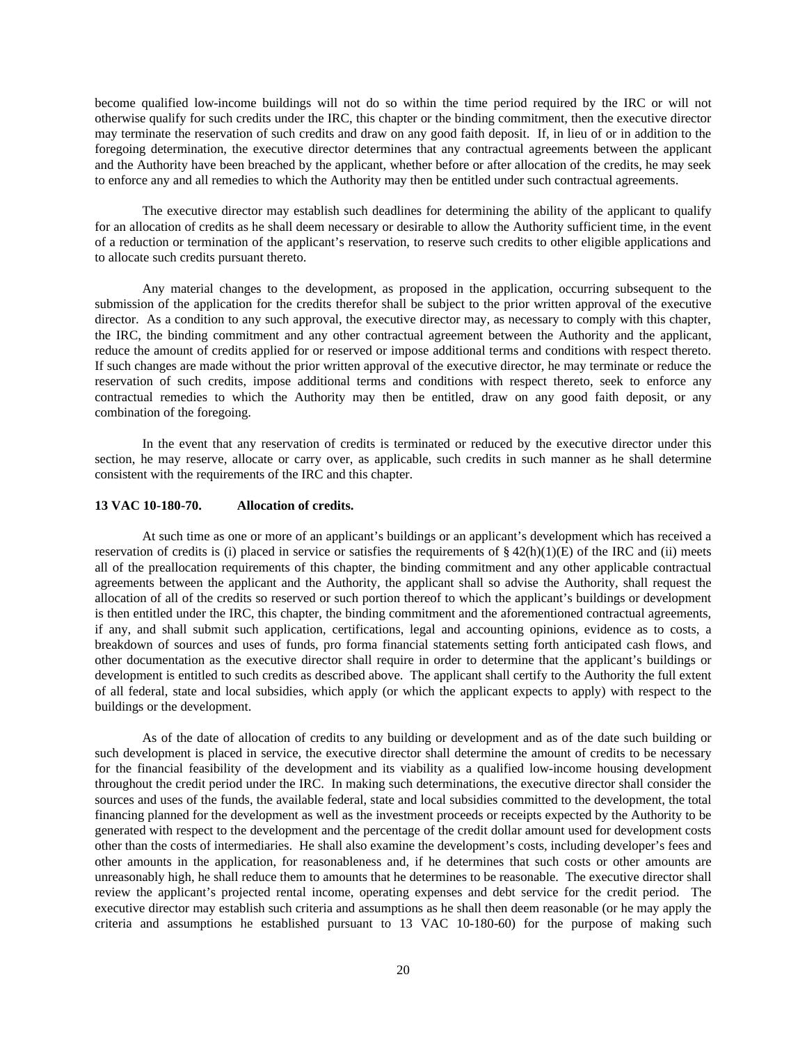become qualified low-income buildings will not do so within the time period required by the IRC or will not otherwise qualify for such credits under the IRC, this chapter or the binding commitment, then the executive director may terminate the reservation of such credits and draw on any good faith deposit. If, in lieu of or in addition to the foregoing determination, the executive director determines that any contractual agreements between the applicant and the Authority have been breached by the applicant, whether before or after allocation of the credits, he may seek to enforce any and all remedies to which the Authority may then be entitled under such contractual agreements.

The executive director may establish such deadlines for determining the ability of the applicant to qualify for an allocation of credits as he shall deem necessary or desirable to allow the Authority sufficient time, in the event of a reduction or termination of the applicant's reservation, to reserve such credits to other eligible applications and to allocate such credits pursuant thereto.

Any material changes to the development, as proposed in the application, occurring subsequent to the submission of the application for the credits therefor shall be subject to the prior written approval of the executive director. As a condition to any such approval, the executive director may, as necessary to comply with this chapter, the IRC, the binding commitment and any other contractual agreement between the Authority and the applicant, reduce the amount of credits applied for or reserved or impose additional terms and conditions with respect thereto. If such changes are made without the prior written approval of the executive director, he may terminate or reduce the reservation of such credits, impose additional terms and conditions with respect thereto, seek to enforce any contractual remedies to which the Authority may then be entitled, draw on any good faith deposit, or any combination of the foregoing.

In the event that any reservation of credits is terminated or reduced by the executive director under this section, he may reserve, allocate or carry over, as applicable, such credits in such manner as he shall determine consistent with the requirements of the IRC and this chapter.

### **13 VAC 10-180-70. Allocation of credits.**

At such time as one or more of an applicant's buildings or an applicant's development which has received a reservation of credits is (i) placed in service or satisfies the requirements of  $\S 42(h)(1)(E)$  of the IRC and (ii) meets all of the preallocation requirements of this chapter, the binding commitment and any other applicable contractual agreements between the applicant and the Authority, the applicant shall so advise the Authority, shall request the allocation of all of the credits so reserved or such portion thereof to which the applicant's buildings or development is then entitled under the IRC, this chapter, the binding commitment and the aforementioned contractual agreements, if any, and shall submit such application, certifications, legal and accounting opinions, evidence as to costs, a breakdown of sources and uses of funds, pro forma financial statements setting forth anticipated cash flows, and other documentation as the executive director shall require in order to determine that the applicant's buildings or development is entitled to such credits as described above. The applicant shall certify to the Authority the full extent of all federal, state and local subsidies, which apply (or which the applicant expects to apply) with respect to the buildings or the development.

As of the date of allocation of credits to any building or development and as of the date such building or such development is placed in service, the executive director shall determine the amount of credits to be necessary for the financial feasibility of the development and its viability as a qualified low-income housing development throughout the credit period under the IRC. In making such determinations, the executive director shall consider the sources and uses of the funds, the available federal, state and local subsidies committed to the development, the total financing planned for the development as well as the investment proceeds or receipts expected by the Authority to be generated with respect to the development and the percentage of the credit dollar amount used for development costs other than the costs of intermediaries. He shall also examine the development's costs, including developer's fees and other amounts in the application, for reasonableness and, if he determines that such costs or other amounts are unreasonably high, he shall reduce them to amounts that he determines to be reasonable. The executive director shall review the applicant's projected rental income, operating expenses and debt service for the credit period. The executive director may establish such criteria and assumptions as he shall then deem reasonable (or he may apply the criteria and assumptions he established pursuant to 13 VAC 10-180-60) for the purpose of making such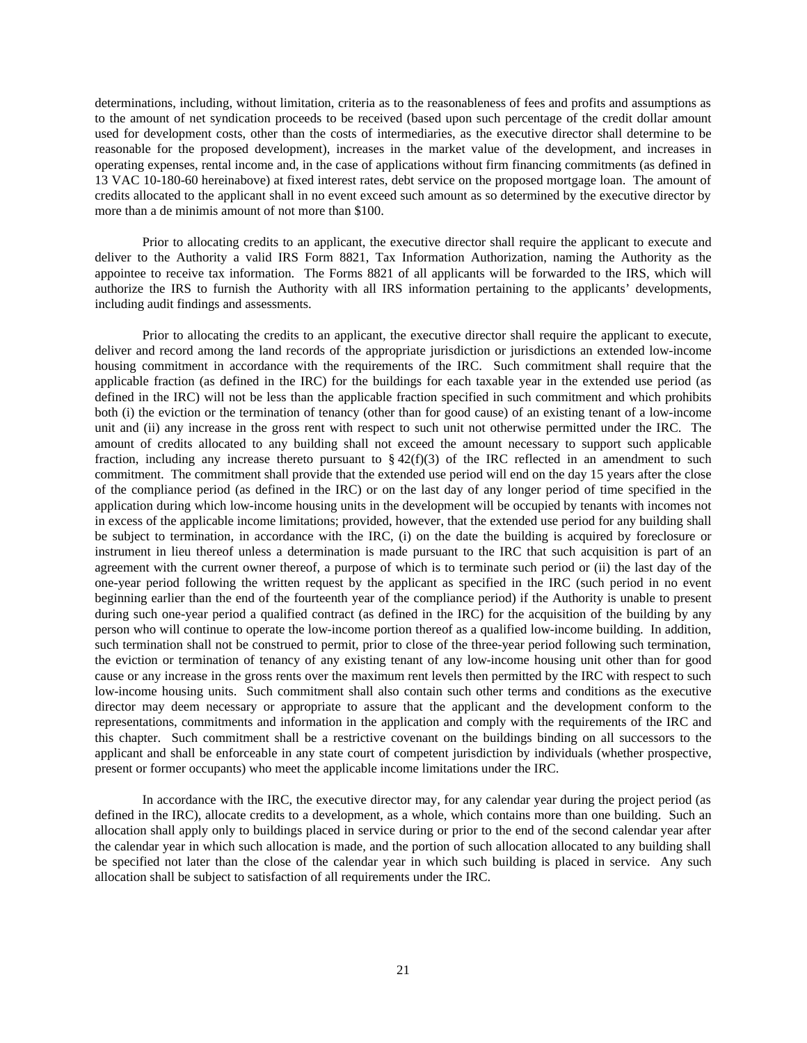determinations, including, without limitation, criteria as to the reasonableness of fees and profits and assumptions as to the amount of net syndication proceeds to be received (based upon such percentage of the credit dollar amount used for development costs, other than the costs of intermediaries, as the executive director shall determine to be reasonable for the proposed development), increases in the market value of the development, and increases in operating expenses, rental income and, in the case of applications without firm financing commitments (as defined in 13 VAC 10-180-60 hereinabove) at fixed interest rates, debt service on the proposed mortgage loan. The amount of credits allocated to the applicant shall in no event exceed such amount as so determined by the executive director by more than a de minimis amount of not more than \$100.

Prior to allocating credits to an applicant, the executive director shall require the applicant to execute and deliver to the Authority a valid IRS Form 8821, Tax Information Authorization, naming the Authority as the appointee to receive tax information. The Forms 8821 of all applicants will be forwarded to the IRS, which will authorize the IRS to furnish the Authority with all IRS information pertaining to the applicants' developments, including audit findings and assessments.

Prior to allocating the credits to an applicant, the executive director shall require the applicant to execute, deliver and record among the land records of the appropriate jurisdiction or jurisdictions an extended low-income housing commitment in accordance with the requirements of the IRC. Such commitment shall require that the applicable fraction (as defined in the IRC) for the buildings for each taxable year in the extended use period (as defined in the IRC) will not be less than the applicable fraction specified in such commitment and which prohibits both (i) the eviction or the termination of tenancy (other than for good cause) of an existing tenant of a low-income unit and (ii) any increase in the gross rent with respect to such unit not otherwise permitted under the IRC. The amount of credits allocated to any building shall not exceed the amount necessary to support such applicable fraction, including any increase thereto pursuant to  $\S 42(f)(3)$  of the IRC reflected in an amendment to such commitment. The commitment shall provide that the extended use period will end on the day 15 years after the close of the compliance period (as defined in the IRC) or on the last day of any longer period of time specified in the application during which low-income housing units in the development will be occupied by tenants with incomes not in excess of the applicable income limitations; provided, however, that the extended use period for any building shall be subject to termination, in accordance with the IRC, (i) on the date the building is acquired by foreclosure or instrument in lieu thereof unless a determination is made pursuant to the IRC that such acquisition is part of an agreement with the current owner thereof, a purpose of which is to terminate such period or (ii) the last day of the one-year period following the written request by the applicant as specified in the IRC (such period in no event beginning earlier than the end of the fourteenth year of the compliance period) if the Authority is unable to present during such one-year period a qualified contract (as defined in the IRC) for the acquisition of the building by any person who will continue to operate the low-income portion thereof as a qualified low-income building. In addition, such termination shall not be construed to permit, prior to close of the three-year period following such termination, the eviction or termination of tenancy of any existing tenant of any low-income housing unit other than for good cause or any increase in the gross rents over the maximum rent levels then permitted by the IRC with respect to such low-income housing units. Such commitment shall also contain such other terms and conditions as the executive director may deem necessary or appropriate to assure that the applicant and the development conform to the representations, commitments and information in the application and comply with the requirements of the IRC and this chapter. Such commitment shall be a restrictive covenant on the buildings binding on all successors to the applicant and shall be enforceable in any state court of competent jurisdiction by individuals (whether prospective, present or former occupants) who meet the applicable income limitations under the IRC.

In accordance with the IRC, the executive director may, for any calendar year during the project period (as defined in the IRC), allocate credits to a development, as a whole, which contains more than one building. Such an allocation shall apply only to buildings placed in service during or prior to the end of the second calendar year after the calendar year in which such allocation is made, and the portion of such allocation allocated to any building shall be specified not later than the close of the calendar year in which such building is placed in service. Any such allocation shall be subject to satisfaction of all requirements under the IRC.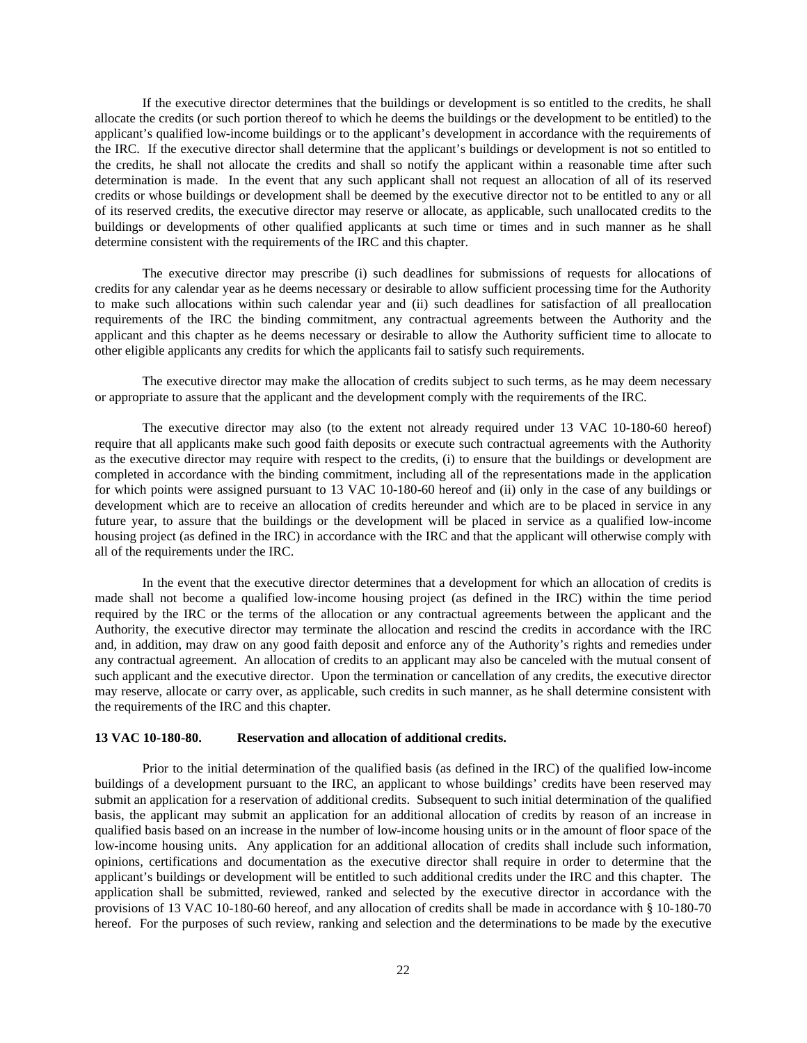If the executive director determines that the buildings or development is so entitled to the credits, he shall allocate the credits (or such portion thereof to which he deems the buildings or the development to be entitled) to the applicant's qualified low-income buildings or to the applicant's development in accordance with the requirements of the IRC. If the executive director shall determine that the applicant's buildings or development is not so entitled to the credits, he shall not allocate the credits and shall so notify the applicant within a reasonable time after such determination is made. In the event that any such applicant shall not request an allocation of all of its reserved credits or whose buildings or development shall be deemed by the executive director not to be entitled to any or all of its reserved credits, the executive director may reserve or allocate, as applicable, such unallocated credits to the buildings or developments of other qualified applicants at such time or times and in such manner as he shall determine consistent with the requirements of the IRC and this chapter.

The executive director may prescribe (i) such deadlines for submissions of requests for allocations of credits for any calendar year as he deems necessary or desirable to allow sufficient processing time for the Authority to make such allocations within such calendar year and (ii) such deadlines for satisfaction of all preallocation requirements of the IRC the binding commitment, any contractual agreements between the Authority and the applicant and this chapter as he deems necessary or desirable to allow the Authority sufficient time to allocate to other eligible applicants any credits for which the applicants fail to satisfy such requirements.

The executive director may make the allocation of credits subject to such terms, as he may deem necessary or appropriate to assure that the applicant and the development comply with the requirements of the IRC.

The executive director may also (to the extent not already required under 13 VAC 10-180-60 hereof) require that all applicants make such good faith deposits or execute such contractual agreements with the Authority as the executive director may require with respect to the credits, (i) to ensure that the buildings or development are completed in accordance with the binding commitment, including all of the representations made in the application for which points were assigned pursuant to 13 VAC 10-180-60 hereof and (ii) only in the case of any buildings or development which are to receive an allocation of credits hereunder and which are to be placed in service in any future year, to assure that the buildings or the development will be placed in service as a qualified low-income housing project (as defined in the IRC) in accordance with the IRC and that the applicant will otherwise comply with all of the requirements under the IRC.

In the event that the executive director determines that a development for which an allocation of credits is made shall not become a qualified low-income housing project (as defined in the IRC) within the time period required by the IRC or the terms of the allocation or any contractual agreements between the applicant and the Authority, the executive director may terminate the allocation and rescind the credits in accordance with the IRC and, in addition, may draw on any good faith deposit and enforce any of the Authority's rights and remedies under any contractual agreement. An allocation of credits to an applicant may also be canceled with the mutual consent of such applicant and the executive director. Upon the termination or cancellation of any credits, the executive director may reserve, allocate or carry over, as applicable, such credits in such manner, as he shall determine consistent with the requirements of the IRC and this chapter.

## **13 VAC 10-180-80. Reservation and allocation of additional credits.**

Prior to the initial determination of the qualified basis (as defined in the IRC) of the qualified low-income buildings of a development pursuant to the IRC, an applicant to whose buildings' credits have been reserved may submit an application for a reservation of additional credits. Subsequent to such initial determination of the qualified basis, the applicant may submit an application for an additional allocation of credits by reason of an increase in qualified basis based on an increase in the number of low-income housing units or in the amount of floor space of the low-income housing units. Any application for an additional allocation of credits shall include such information, opinions, certifications and documentation as the executive director shall require in order to determine that the applicant's buildings or development will be entitled to such additional credits under the IRC and this chapter. The application shall be submitted, reviewed, ranked and selected by the executive director in accordance with the provisions of 13 VAC 10-180-60 hereof, and any allocation of credits shall be made in accordance with § 10-180-70 hereof. For the purposes of such review, ranking and selection and the determinations to be made by the executive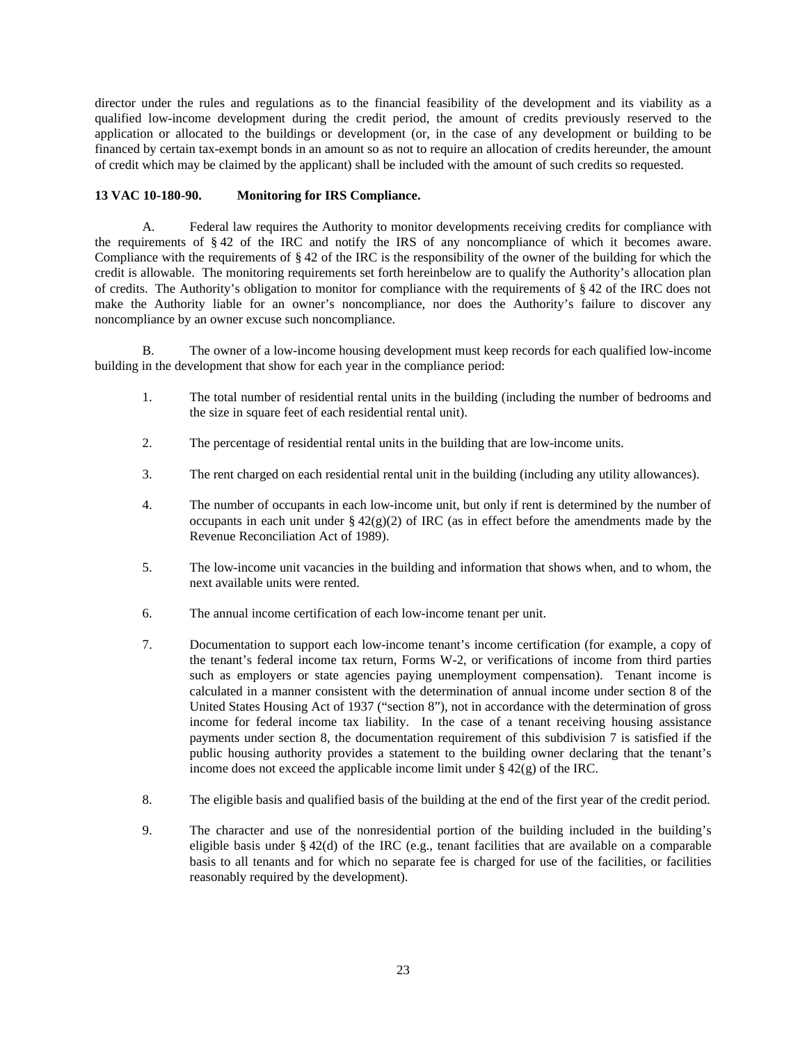director under the rules and regulations as to the financial feasibility of the development and its viability as a qualified low-income development during the credit period, the amount of credits previously reserved to the application or allocated to the buildings or development (or, in the case of any development or building to be financed by certain tax-exempt bonds in an amount so as not to require an allocation of credits hereunder, the amount of credit which may be claimed by the applicant) shall be included with the amount of such credits so requested.

# **13 VAC 10-180-90. Monitoring for IRS Compliance.**

A. Federal law requires the Authority to monitor developments receiving credits for compliance with the requirements of § 42 of the IRC and notify the IRS of any noncompliance of which it becomes aware. Compliance with the requirements of § 42 of the IRC is the responsibility of the owner of the building for which the credit is allowable. The monitoring requirements set forth hereinbelow are to qualify the Authority's allocation plan of credits. The Authority's obligation to monitor for compliance with the requirements of § 42 of the IRC does not make the Authority liable for an owner's noncompliance, nor does the Authority's failure to discover any noncompliance by an owner excuse such noncompliance.

B. The owner of a low-income housing development must keep records for each qualified low-income building in the development that show for each year in the compliance period:

- 1. The total number of residential rental units in the building (including the number of bedrooms and the size in square feet of each residential rental unit).
- 2. The percentage of residential rental units in the building that are low-income units.
- 3. The rent charged on each residential rental unit in the building (including any utility allowances).
- 4. The number of occupants in each low-income unit, but only if rent is determined by the number of occupants in each unit under  $\S 42(g)(2)$  of IRC (as in effect before the amendments made by the Revenue Reconciliation Act of 1989).
- 5. The low-income unit vacancies in the building and information that shows when, and to whom, the next available units were rented.
- 6. The annual income certification of each low-income tenant per unit.
- 7. Documentation to support each low-income tenant's income certification (for example, a copy of the tenant's federal income tax return, Forms W-2, or verifications of income from third parties such as employers or state agencies paying unemployment compensation). Tenant income is calculated in a manner consistent with the determination of annual income under section 8 of the United States Housing Act of 1937 ("section 8"), not in accordance with the determination of gross income for federal income tax liability. In the case of a tenant receiving housing assistance payments under section 8, the documentation requirement of this subdivision 7 is satisfied if the public housing authority provides a statement to the building owner declaring that the tenant's income does not exceed the applicable income limit under  $\S 42(g)$  of the IRC.
- 8. The eligible basis and qualified basis of the building at the end of the first year of the credit period.
- 9. The character and use of the nonresidential portion of the building included in the building's eligible basis under § 42(d) of the IRC (e.g., tenant facilities that are available on a comparable basis to all tenants and for which no separate fee is charged for use of the facilities, or facilities reasonably required by the development).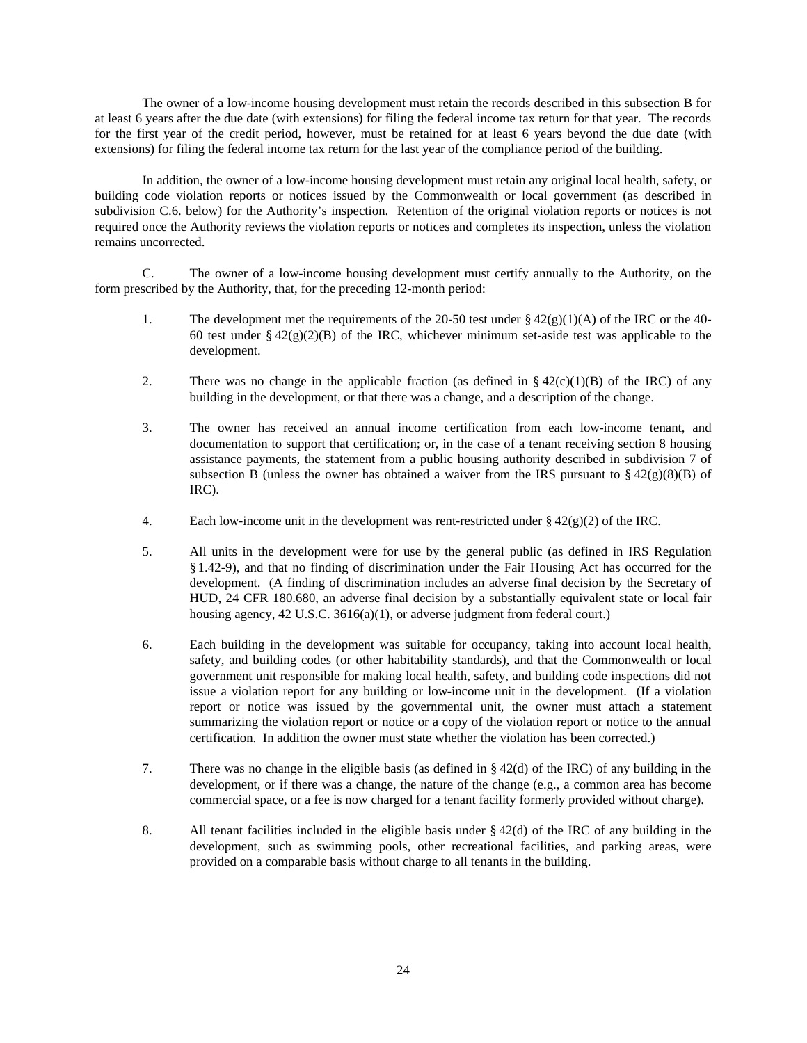The owner of a low-income housing development must retain the records described in this subsection B for at least 6 years after the due date (with extensions) for filing the federal income tax return for that year. The records for the first year of the credit period, however, must be retained for at least 6 years beyond the due date (with extensions) for filing the federal income tax return for the last year of the compliance period of the building.

In addition, the owner of a low-income housing development must retain any original local health, safety, or building code violation reports or notices issued by the Commonwealth or local government (as described in subdivision C.6. below) for the Authority's inspection. Retention of the original violation reports or notices is not required once the Authority reviews the violation reports or notices and completes its inspection, unless the violation remains uncorrected.

C. The owner of a low-income housing development must certify annually to the Authority, on the form prescribed by the Authority, that, for the preceding 12-month period:

- 1. The development met the requirements of the 20-50 test under  $\S 42(g)(1)(A)$  of the IRC or the 40-60 test under §  $42(g)(2)(B)$  of the IRC, whichever minimum set-aside test was applicable to the development.
- 2. There was no change in the applicable fraction (as defined in  $\S 42(c)(1)(B)$  of the IRC) of any building in the development, or that there was a change, and a description of the change.
- 3. The owner has received an annual income certification from each low-income tenant, and documentation to support that certification; or, in the case of a tenant receiving section 8 housing assistance payments, the statement from a public housing authority described in subdivision 7 of subsection B (unless the owner has obtained a waiver from the IRS pursuant to  $\S 42(g)(8)(B)$  of IRC).
- 4. Each low-income unit in the development was rent-restricted under  $\S 42(g)(2)$  of the IRC.
- 5. All units in the development were for use by the general public (as defined in IRS Regulation § 1.42-9), and that no finding of discrimination under the Fair Housing Act has occurred for the development. (A finding of discrimination includes an adverse final decision by the Secretary of HUD, 24 CFR 180.680, an adverse final decision by a substantially equivalent state or local fair housing agency, 42 U.S.C. 3616(a)(1), or adverse judgment from federal court.)
- 6. Each building in the development was suitable for occupancy, taking into account local health, safety, and building codes (or other habitability standards), and that the Commonwealth or local government unit responsible for making local health, safety, and building code inspections did not issue a violation report for any building or low-income unit in the development. (If a violation report or notice was issued by the governmental unit, the owner must attach a statement summarizing the violation report or notice or a copy of the violation report or notice to the annual certification. In addition the owner must state whether the violation has been corrected.)
- 7. There was no change in the eligible basis (as defined in § 42(d) of the IRC) of any building in the development, or if there was a change, the nature of the change (e.g., a common area has become commercial space, or a fee is now charged for a tenant facility formerly provided without charge).
- 8. All tenant facilities included in the eligible basis under  $\S 42(d)$  of the IRC of any building in the development, such as swimming pools, other recreational facilities, and parking areas, were provided on a comparable basis without charge to all tenants in the building.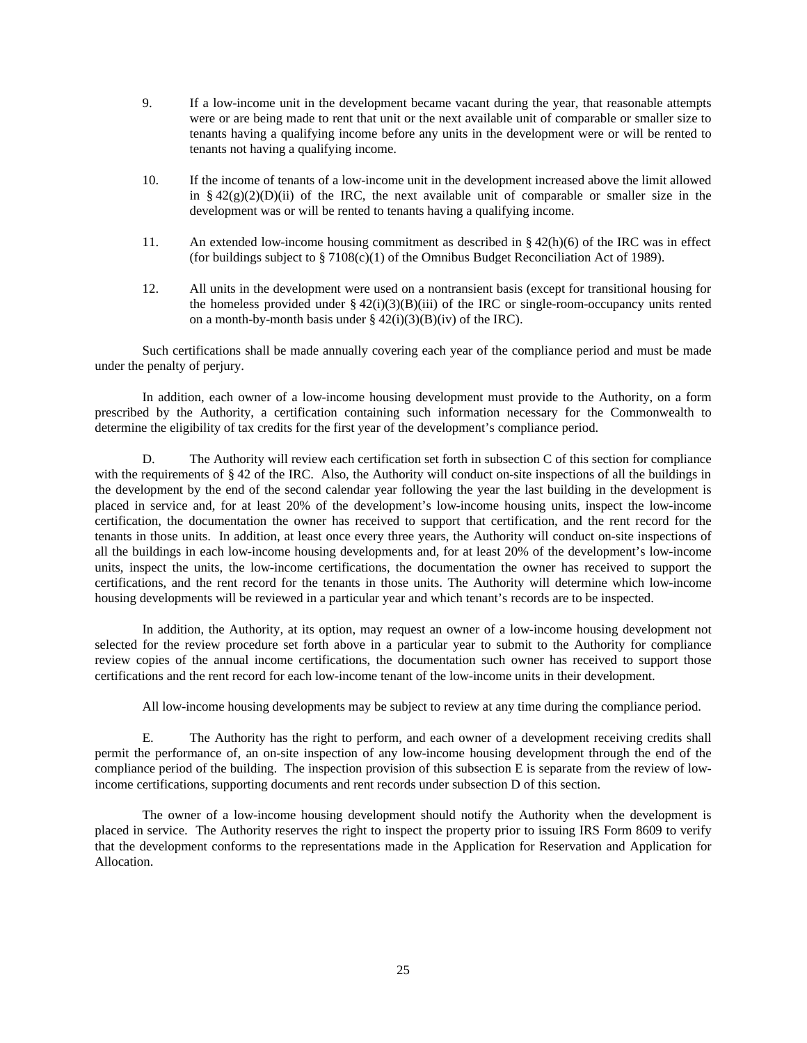- 9. If a low-income unit in the development became vacant during the year, that reasonable attempts were or are being made to rent that unit or the next available unit of comparable or smaller size to tenants having a qualifying income before any units in the development were or will be rented to tenants not having a qualifying income.
- 10. If the income of tenants of a low-income unit in the development increased above the limit allowed in  $§$  42(g)(2)(D)(ii) of the IRC, the next available unit of comparable or smaller size in the development was or will be rented to tenants having a qualifying income.
- 11. An extended low-income housing commitment as described in § 42(h)(6) of the IRC was in effect (for buildings subject to  $\S 7108(c)(1)$  of the Omnibus Budget Reconciliation Act of 1989).
- 12. All units in the development were used on a nontransient basis (except for transitional housing for the homeless provided under  $\S 42(i)(3)(B(iii))$  of the IRC or single-room-occupancy units rented on a month-by-month basis under  $\S 42(i)(3)(B)(iv)$  of the IRC).

Such certifications shall be made annually covering each year of the compliance period and must be made under the penalty of perjury.

In addition, each owner of a low-income housing development must provide to the Authority, on a form prescribed by the Authority, a certification containing such information necessary for the Commonwealth to determine the eligibility of tax credits for the first year of the development's compliance period.

D. The Authority will review each certification set forth in subsection C of this section for compliance with the requirements of § 42 of the IRC. Also, the Authority will conduct on-site inspections of all the buildings in the development by the end of the second calendar year following the year the last building in the development is placed in service and, for at least 20% of the development's low-income housing units, inspect the low-income certification, the documentation the owner has received to support that certification, and the rent record for the tenants in those units. In addition, at least once every three years, the Authority will conduct on-site inspections of all the buildings in each low-income housing developments and, for at least 20% of the development's low-income units, inspect the units, the low-income certifications, the documentation the owner has received to support the certifications, and the rent record for the tenants in those units. The Authority will determine which low-income housing developments will be reviewed in a particular year and which tenant's records are to be inspected.

In addition, the Authority, at its option, may request an owner of a low-income housing development not selected for the review procedure set forth above in a particular year to submit to the Authority for compliance review copies of the annual income certifications, the documentation such owner has received to support those certifications and the rent record for each low-income tenant of the low-income units in their development.

All low-income housing developments may be subject to review at any time during the compliance period.

E. The Authority has the right to perform, and each owner of a development receiving credits shall permit the performance of, an on-site inspection of any low-income housing development through the end of the compliance period of the building. The inspection provision of this subsection E is separate from the review of lowincome certifications, supporting documents and rent records under subsection D of this section.

The owner of a low-income housing development should notify the Authority when the development is placed in service. The Authority reserves the right to inspect the property prior to issuing IRS Form 8609 to verify that the development conforms to the representations made in the Application for Reservation and Application for Allocation.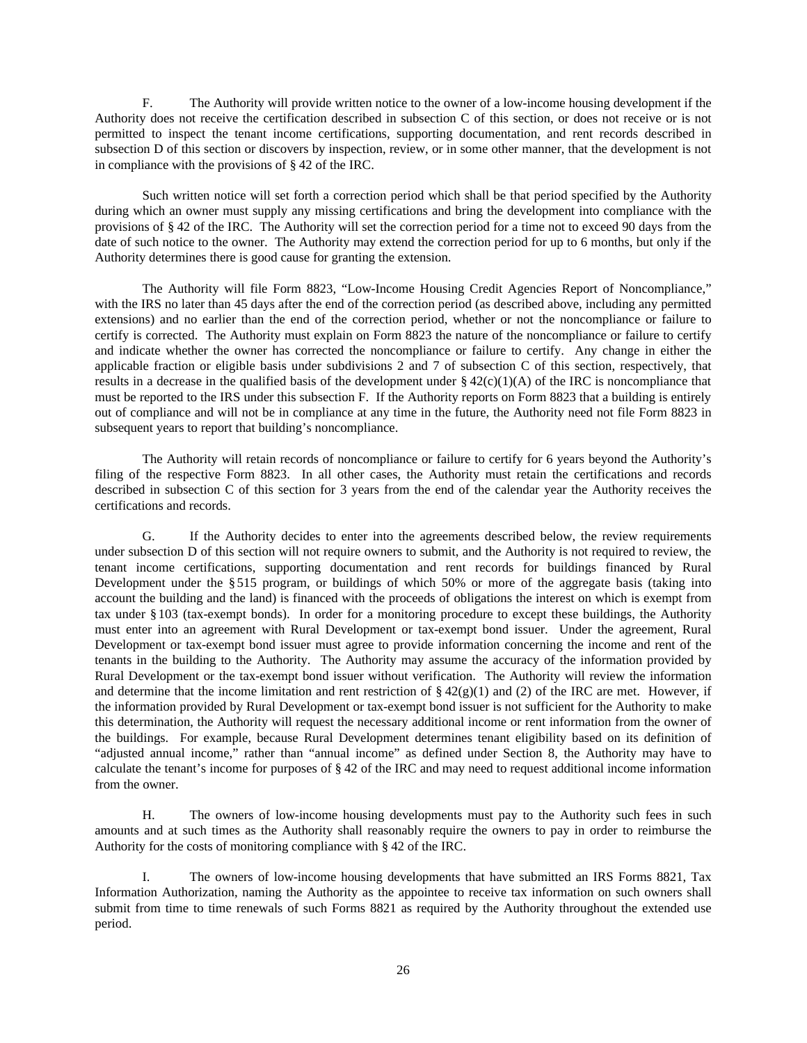F. The Authority will provide written notice to the owner of a low-income housing development if the Authority does not receive the certification described in subsection C of this section, or does not receive or is not permitted to inspect the tenant income certifications, supporting documentation, and rent records described in subsection D of this section or discovers by inspection, review, or in some other manner, that the development is not in compliance with the provisions of § 42 of the IRC.

Such written notice will set forth a correction period which shall be that period specified by the Authority during which an owner must supply any missing certifications and bring the development into compliance with the provisions of § 42 of the IRC. The Authority will set the correction period for a time not to exceed 90 days from the date of such notice to the owner. The Authority may extend the correction period for up to 6 months, but only if the Authority determines there is good cause for granting the extension.

The Authority will file Form 8823, "Low-Income Housing Credit Agencies Report of Noncompliance," with the IRS no later than 45 days after the end of the correction period (as described above, including any permitted extensions) and no earlier than the end of the correction period, whether or not the noncompliance or failure to certify is corrected. The Authority must explain on Form 8823 the nature of the noncompliance or failure to certify and indicate whether the owner has corrected the noncompliance or failure to certify. Any change in either the applicable fraction or eligible basis under subdivisions 2 and 7 of subsection C of this section, respectively, that results in a decrease in the qualified basis of the development under  $\S 42(c)(1)(A)$  of the IRC is noncompliance that must be reported to the IRS under this subsection F. If the Authority reports on Form 8823 that a building is entirely out of compliance and will not be in compliance at any time in the future, the Authority need not file Form 8823 in subsequent years to report that building's noncompliance.

The Authority will retain records of noncompliance or failure to certify for 6 years beyond the Authority's filing of the respective Form 8823. In all other cases, the Authority must retain the certifications and records described in subsection C of this section for 3 years from the end of the calendar year the Authority receives the certifications and records.

G. If the Authority decides to enter into the agreements described below, the review requirements under subsection D of this section will not require owners to submit, and the Authority is not required to review, the tenant income certifications, supporting documentation and rent records for buildings financed by Rural Development under the § 515 program, or buildings of which 50% or more of the aggregate basis (taking into account the building and the land) is financed with the proceeds of obligations the interest on which is exempt from tax under § 103 (tax-exempt bonds). In order for a monitoring procedure to except these buildings, the Authority must enter into an agreement with Rural Development or tax-exempt bond issuer. Under the agreement, Rural Development or tax-exempt bond issuer must agree to provide information concerning the income and rent of the tenants in the building to the Authority. The Authority may assume the accuracy of the information provided by Rural Development or the tax-exempt bond issuer without verification. The Authority will review the information and determine that the income limitation and rent restriction of  $\S 42(g)(1)$  and (2) of the IRC are met. However, if the information provided by Rural Development or tax-exempt bond issuer is not sufficient for the Authority to make this determination, the Authority will request the necessary additional income or rent information from the owner of the buildings. For example, because Rural Development determines tenant eligibility based on its definition of "adjusted annual income," rather than "annual income" as defined under Section 8, the Authority may have to calculate the tenant's income for purposes of § 42 of the IRC and may need to request additional income information from the owner.

H. The owners of low-income housing developments must pay to the Authority such fees in such amounts and at such times as the Authority shall reasonably require the owners to pay in order to reimburse the Authority for the costs of monitoring compliance with § 42 of the IRC.

I. The owners of low-income housing developments that have submitted an IRS Forms 8821, Tax Information Authorization, naming the Authority as the appointee to receive tax information on such owners shall submit from time to time renewals of such Forms 8821 as required by the Authority throughout the extended use period.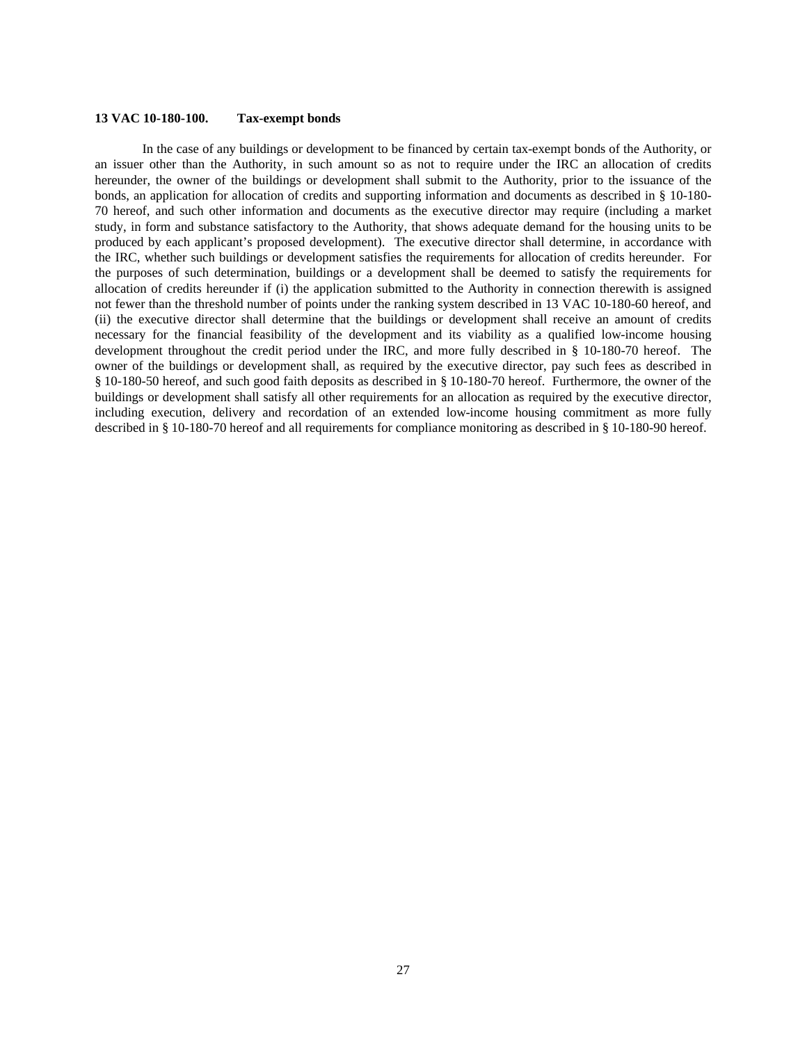## **13 VAC 10-180-100. Tax-exempt bonds**

In the case of any buildings or development to be financed by certain tax-exempt bonds of the Authority, or an issuer other than the Authority, in such amount so as not to require under the IRC an allocation of credits hereunder, the owner of the buildings or development shall submit to the Authority, prior to the issuance of the bonds, an application for allocation of credits and supporting information and documents as described in § 10-180- 70 hereof, and such other information and documents as the executive director may require (including a market study, in form and substance satisfactory to the Authority, that shows adequate demand for the housing units to be produced by each applicant's proposed development). The executive director shall determine, in accordance with the IRC, whether such buildings or development satisfies the requirements for allocation of credits hereunder. For the purposes of such determination, buildings or a development shall be deemed to satisfy the requirements for allocation of credits hereunder if (i) the application submitted to the Authority in connection therewith is assigned not fewer than the threshold number of points under the ranking system described in 13 VAC 10-180-60 hereof, and (ii) the executive director shall determine that the buildings or development shall receive an amount of credits necessary for the financial feasibility of the development and its viability as a qualified low-income housing development throughout the credit period under the IRC, and more fully described in § 10-180-70 hereof. The owner of the buildings or development shall, as required by the executive director, pay such fees as described in § 10-180-50 hereof, and such good faith deposits as described in § 10-180-70 hereof. Furthermore, the owner of the buildings or development shall satisfy all other requirements for an allocation as required by the executive director, including execution, delivery and recordation of an extended low-income housing commitment as more fully described in § 10-180-70 hereof and all requirements for compliance monitoring as described in § 10-180-90 hereof.